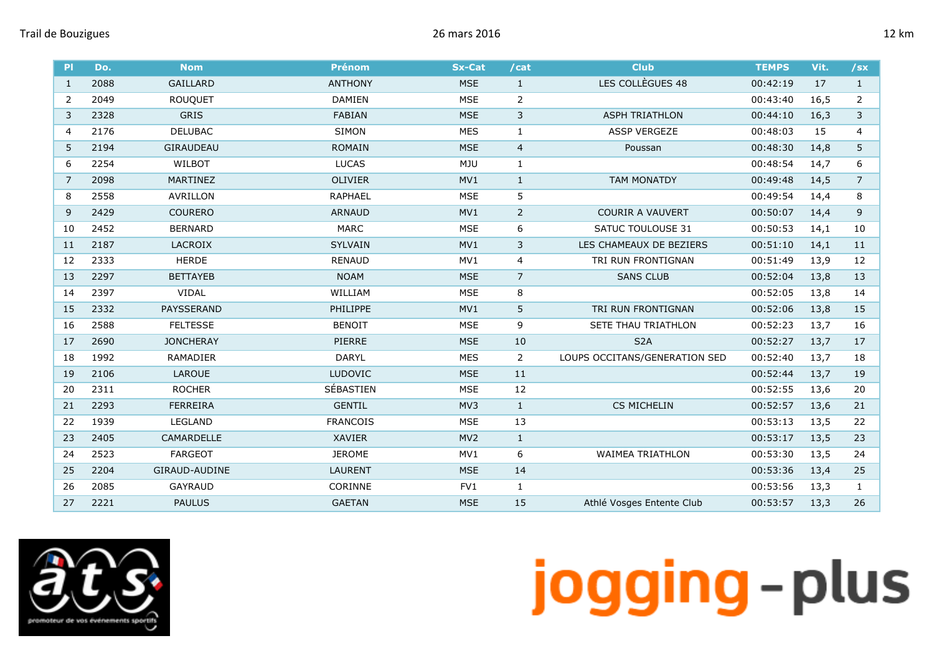| <b>PI</b>      | Do.  | <b>Nom</b>       | <b>Prénom</b>   | <b>Sx-Cat</b> | /cat           | <b>Club</b>                   | <b>TEMPS</b> | Vit. | /sx            |
|----------------|------|------------------|-----------------|---------------|----------------|-------------------------------|--------------|------|----------------|
| 1              | 2088 | <b>GAILLARD</b>  | <b>ANTHONY</b>  | <b>MSE</b>    | $\mathbf{1}$   | LES COLLÈGUES 48              | 00:42:19     | 17   | $\mathbf{1}$   |
| 2              | 2049 | <b>ROUQUET</b>   | <b>DAMIEN</b>   | <b>MSE</b>    | 2              |                               | 00:43:40     | 16,5 | 2              |
| 3              | 2328 | <b>GRIS</b>      | <b>FABIAN</b>   | <b>MSE</b>    | 3              | <b>ASPH TRIATHLON</b>         | 00:44:10     | 16,3 | 3              |
| $\overline{4}$ | 2176 | <b>DELUBAC</b>   | <b>SIMON</b>    | <b>MES</b>    | $\mathbf{1}$   | <b>ASSP VERGEZE</b>           | 00:48:03     | 15   | $\overline{4}$ |
| 5              | 2194 | GIRAUDEAU        | <b>ROMAIN</b>   | <b>MSE</b>    | $\overline{4}$ | Poussan                       | 00:48:30     | 14,8 | 5              |
| 6              | 2254 | WILBOT           | <b>LUCAS</b>    | <b>MJU</b>    | $\mathbf{1}$   |                               | 00:48:54     | 14,7 | 6              |
| 7              | 2098 | MARTINEZ         | <b>OLIVIER</b>  | MV1           | $\mathbf{1}$   | <b>TAM MONATDY</b>            | 00:49:48     | 14,5 | $\overline{7}$ |
| 8              | 2558 | AVRILLON         | <b>RAPHAEL</b>  | <b>MSE</b>    | 5              |                               | 00:49:54     | 14,4 | 8              |
| 9              | 2429 | <b>COURERO</b>   | <b>ARNAUD</b>   | MV1           | $\overline{2}$ | COURIR A VAUVERT              | 00:50:07     | 14,4 | 9              |
| 10             | 2452 | <b>BERNARD</b>   | <b>MARC</b>     | <b>MSE</b>    | 6              | <b>SATUC TOULOUSE 31</b>      | 00:50:53     | 14,1 | 10             |
| 11             | 2187 | <b>LACROIX</b>   | <b>SYLVAIN</b>  | MV1           | 3              | LES CHAMEAUX DE BEZIERS       | 00:51:10     | 14,1 | 11             |
| 12             | 2333 | <b>HERDE</b>     | <b>RENAUD</b>   | MV1           | 4              | TRI RUN FRONTIGNAN            | 00:51:49     | 13,9 | 12             |
| 13             | 2297 | <b>BETTAYEB</b>  | <b>NOAM</b>     | <b>MSE</b>    | $\overline{7}$ | <b>SANS CLUB</b>              | 00:52:04     | 13,8 | 13             |
| 14             | 2397 | <b>VIDAL</b>     | WILLIAM         | <b>MSE</b>    | 8              |                               | 00:52:05     | 13,8 | 14             |
| 15             | 2332 | PAYSSERAND       | PHILIPPE        | MV1           | 5              | TRI RUN FRONTIGNAN            | 00:52:06     | 13,8 | 15             |
| 16             | 2588 | <b>FELTESSE</b>  | <b>BENOIT</b>   | <b>MSE</b>    | 9              | <b>SETE THAU TRIATHLON</b>    | 00:52:23     | 13,7 | 16             |
| 17             | 2690 | <b>JONCHERAY</b> | PIERRE          | <b>MSE</b>    | 10             | S <sub>2</sub> A              | 00:52:27     | 13,7 | 17             |
| 18             | 1992 | RAMADIER         | <b>DARYL</b>    | <b>MES</b>    | $\overline{2}$ | LOUPS OCCITANS/GENERATION SED | 00:52:40     | 13,7 | 18             |
| 19             | 2106 | LAROUE           | <b>LUDOVIC</b>  | <b>MSE</b>    | 11             |                               | 00:52:44     | 13,7 | 19             |
| 20             | 2311 | <b>ROCHER</b>    | SÉBASTIEN       | <b>MSE</b>    | 12             |                               | 00:52:55     | 13,6 | 20             |
| 21             | 2293 | <b>FERREIRA</b>  | <b>GENTIL</b>   | MV3           | $\mathbf{1}$   | <b>CS MICHELIN</b>            | 00:52:57     | 13,6 | 21             |
| 22             | 1939 | LEGLAND          | <b>FRANCOIS</b> | <b>MSE</b>    | 13             |                               | 00:53:13     | 13,5 | 22             |
| 23             | 2405 | CAMARDELLE       | <b>XAVIER</b>   | MV2           | $\mathbf 1$    |                               | 00:53:17     | 13,5 | 23             |
| 24             | 2523 | <b>FARGEOT</b>   | <b>JEROME</b>   | MV1           | 6              | <b>WAIMEA TRIATHLON</b>       | 00:53:30     | 13,5 | 24             |
| 25             | 2204 | GIRAUD-AUDINE    | <b>LAURENT</b>  | <b>MSE</b>    | 14             |                               | 00:53:36     | 13,4 | 25             |
| 26             | 2085 | <b>GAYRAUD</b>   | CORINNE         | FV1           | $\mathbf{1}$   |                               | 00:53:56     | 13,3 | $\mathbf{1}$   |
| 27             | 2221 | <b>PAULUS</b>    | <b>GAETAN</b>   | <b>MSE</b>    | 15             | Athlé Vosges Entente Club     | 00:53:57     | 13,3 | 26             |

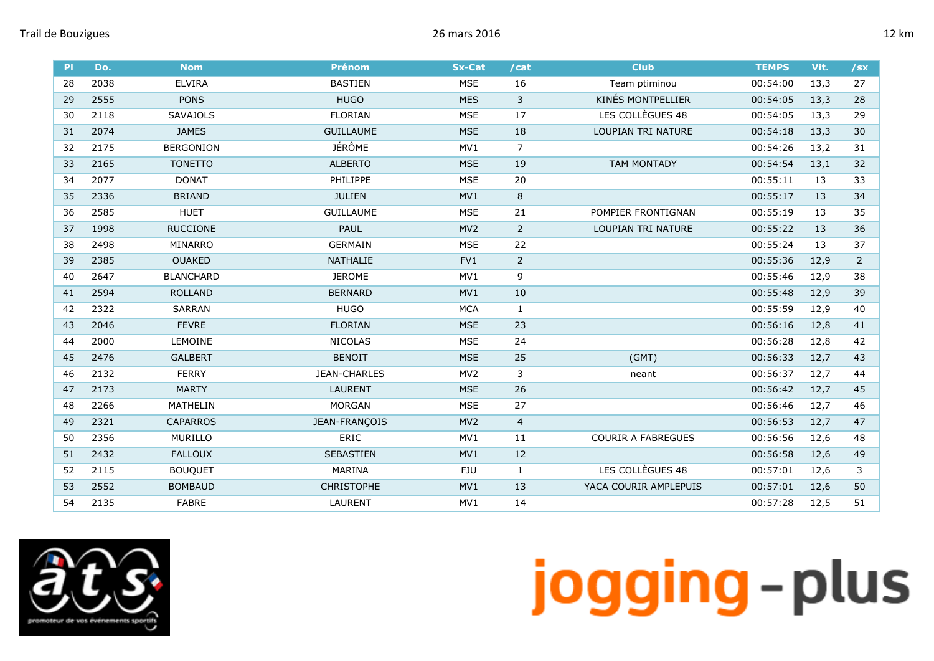| 2038<br><b>ELVIRA</b><br><b>BASTIEN</b><br><b>MSE</b><br>16<br>27<br>28<br>Team ptiminou<br>00:54:00<br>13,3<br><b>KINÉS MONTPELLIER</b><br>$\overline{3}$<br><b>PONS</b><br><b>HUGO</b><br><b>MES</b><br>2555<br>00:54:05<br>13,3<br>28<br>29<br>LES COLLÈGUES 48<br>SAVAJOLS<br><b>FLORIAN</b><br><b>MSE</b><br>17<br>29<br>30<br>2118<br>00:54:05<br>13,3<br>2074<br>18<br>31<br><b>JAMES</b><br><b>GUILLAUME</b><br><b>MSE</b><br>LOUPIAN TRI NATURE<br>00:54:18<br>13,3<br>30<br><b>JÉRÔME</b><br>$\overline{7}$<br>2175<br><b>BERGONION</b><br>MV1<br>00:54:26<br>13,2<br>32<br>31<br>2165<br><b>TONETTO</b><br><b>ALBERTO</b><br><b>MSE</b><br>19<br><b>TAM MONTADY</b><br>00:54:54<br>32<br>33<br>13,1<br>20<br>2077<br><b>DONAT</b><br>PHILIPPE<br><b>MSE</b><br>00:55:11<br>33<br>34<br>13<br>$\,8\,$<br><b>BRIAND</b><br><b>JULIEN</b><br>MV1<br>00:55:17<br>35<br>2336<br>13<br>34<br>21<br>35<br>36<br>2585<br><b>HUET</b><br><b>GUILLAUME</b><br><b>MSE</b><br>POMPIER FRONTIGNAN<br>00:55:19<br>13<br>$\overline{2}$<br><b>RUCCIONE</b><br>MV <sub>2</sub><br>1998<br><b>PAUL</b><br>LOUPIAN TRI NATURE<br>00:55:22<br>13<br>36<br>37<br><b>GERMAIN</b><br><b>MSE</b><br>22<br>00:55:24<br>38<br>2498<br>MINARRO<br>13<br>37<br>$\overline{2}$<br>2385<br><b>OUAKED</b><br><b>NATHALIE</b><br>FV1<br>00:55:36<br>$\overline{2}$<br>39<br>12,9<br><b>JEROME</b><br>9<br>2647<br><b>BLANCHARD</b><br>MV1<br>00:55:46<br>12,9<br>38<br>40<br>00:55:48<br>41<br>2594<br><b>ROLLAND</b><br><b>BERNARD</b><br>MV1<br>10<br>12,9<br>39<br><b>HUGO</b><br>00:55:59<br>42<br>2322<br><b>SARRAN</b><br><b>MCA</b><br>$\mathbf{1}$<br>12,9<br>40<br><b>FLORIAN</b><br>23<br>2046<br><b>FEVRE</b><br><b>MSE</b><br>00:56:16<br>43<br>12,8<br>41<br>2000<br>LEMOINE<br><b>NICOLAS</b><br><b>MSE</b><br>24<br>00:56:28<br>12,8<br>42<br>44<br>25<br>(GMT)<br>43<br>45<br>2476<br><b>BENOIT</b><br><b>MSE</b><br>00:56:33<br>12,7<br><b>GALBERT</b><br>3<br>2132<br><b>FERRY</b><br>JEAN-CHARLES<br>MV <sub>2</sub><br>46<br>00:56:37<br>12,7<br>44<br>neant<br>2173<br><b>MARTY</b><br><b>LAURENT</b><br><b>MSE</b><br>26<br>00:56:42<br>45<br>47<br>12,7<br>27<br>2266<br>MATHELIN<br><b>MORGAN</b><br><b>MSE</b><br>00:56:46<br>12,7<br>46<br>48<br>2321<br><b>CAPARROS</b><br>JEAN-FRANÇOIS<br>MV <sub>2</sub><br>$\overline{4}$<br>00:56:53<br>49<br>12,7<br>47<br><b>ERIC</b><br>50<br>2356<br><b>MURILLO</b><br>MV1<br>11<br><b>COURIR A FABREGUES</b><br>00:56:56<br>12,6<br>48<br>12<br>51<br>2432<br><b>FALLOUX</b><br><b>SEBASTIEN</b><br>MV1<br>00:56:58<br>49<br>12,6<br>LES COLLÈGUES 48<br>2115<br>MARINA<br>00:57:01<br>52<br><b>BOUQUET</b><br>FJU<br>$\mathbf{1}$<br>3<br>12,6<br>2552<br><b>BOMBAUD</b><br><b>CHRISTOPHE</b><br>13<br>YACA COURIR AMPLEPUIS<br>53<br>MV1<br>00:57:01<br>12,6<br>50 | P  | Do.  | <b>Nom</b>   | <b>Prénom</b>  | <b>Sx-Cat</b> | /cat | <b>Club</b> | <b>TEMPS</b> | Vit. | /sx |
|-----------------------------------------------------------------------------------------------------------------------------------------------------------------------------------------------------------------------------------------------------------------------------------------------------------------------------------------------------------------------------------------------------------------------------------------------------------------------------------------------------------------------------------------------------------------------------------------------------------------------------------------------------------------------------------------------------------------------------------------------------------------------------------------------------------------------------------------------------------------------------------------------------------------------------------------------------------------------------------------------------------------------------------------------------------------------------------------------------------------------------------------------------------------------------------------------------------------------------------------------------------------------------------------------------------------------------------------------------------------------------------------------------------------------------------------------------------------------------------------------------------------------------------------------------------------------------------------------------------------------------------------------------------------------------------------------------------------------------------------------------------------------------------------------------------------------------------------------------------------------------------------------------------------------------------------------------------------------------------------------------------------------------------------------------------------------------------------------------------------------------------------------------------------------------------------------------------------------------------------------------------------------------------------------------------------------------------------------------------------------------------------------------------------------------------------------------------------------------------------------------------------------------------------------------------------------------------------------------------------------------------------------------------------------------------------------------------------------------------------------------------------------------------------------------------------------|----|------|--------------|----------------|---------------|------|-------------|--------------|------|-----|
|                                                                                                                                                                                                                                                                                                                                                                                                                                                                                                                                                                                                                                                                                                                                                                                                                                                                                                                                                                                                                                                                                                                                                                                                                                                                                                                                                                                                                                                                                                                                                                                                                                                                                                                                                                                                                                                                                                                                                                                                                                                                                                                                                                                                                                                                                                                                                                                                                                                                                                                                                                                                                                                                                                                                                                                                                       |    |      |              |                |               |      |             |              |      |     |
|                                                                                                                                                                                                                                                                                                                                                                                                                                                                                                                                                                                                                                                                                                                                                                                                                                                                                                                                                                                                                                                                                                                                                                                                                                                                                                                                                                                                                                                                                                                                                                                                                                                                                                                                                                                                                                                                                                                                                                                                                                                                                                                                                                                                                                                                                                                                                                                                                                                                                                                                                                                                                                                                                                                                                                                                                       |    |      |              |                |               |      |             |              |      |     |
|                                                                                                                                                                                                                                                                                                                                                                                                                                                                                                                                                                                                                                                                                                                                                                                                                                                                                                                                                                                                                                                                                                                                                                                                                                                                                                                                                                                                                                                                                                                                                                                                                                                                                                                                                                                                                                                                                                                                                                                                                                                                                                                                                                                                                                                                                                                                                                                                                                                                                                                                                                                                                                                                                                                                                                                                                       |    |      |              |                |               |      |             |              |      |     |
|                                                                                                                                                                                                                                                                                                                                                                                                                                                                                                                                                                                                                                                                                                                                                                                                                                                                                                                                                                                                                                                                                                                                                                                                                                                                                                                                                                                                                                                                                                                                                                                                                                                                                                                                                                                                                                                                                                                                                                                                                                                                                                                                                                                                                                                                                                                                                                                                                                                                                                                                                                                                                                                                                                                                                                                                                       |    |      |              |                |               |      |             |              |      |     |
|                                                                                                                                                                                                                                                                                                                                                                                                                                                                                                                                                                                                                                                                                                                                                                                                                                                                                                                                                                                                                                                                                                                                                                                                                                                                                                                                                                                                                                                                                                                                                                                                                                                                                                                                                                                                                                                                                                                                                                                                                                                                                                                                                                                                                                                                                                                                                                                                                                                                                                                                                                                                                                                                                                                                                                                                                       |    |      |              |                |               |      |             |              |      |     |
|                                                                                                                                                                                                                                                                                                                                                                                                                                                                                                                                                                                                                                                                                                                                                                                                                                                                                                                                                                                                                                                                                                                                                                                                                                                                                                                                                                                                                                                                                                                                                                                                                                                                                                                                                                                                                                                                                                                                                                                                                                                                                                                                                                                                                                                                                                                                                                                                                                                                                                                                                                                                                                                                                                                                                                                                                       |    |      |              |                |               |      |             |              |      |     |
|                                                                                                                                                                                                                                                                                                                                                                                                                                                                                                                                                                                                                                                                                                                                                                                                                                                                                                                                                                                                                                                                                                                                                                                                                                                                                                                                                                                                                                                                                                                                                                                                                                                                                                                                                                                                                                                                                                                                                                                                                                                                                                                                                                                                                                                                                                                                                                                                                                                                                                                                                                                                                                                                                                                                                                                                                       |    |      |              |                |               |      |             |              |      |     |
|                                                                                                                                                                                                                                                                                                                                                                                                                                                                                                                                                                                                                                                                                                                                                                                                                                                                                                                                                                                                                                                                                                                                                                                                                                                                                                                                                                                                                                                                                                                                                                                                                                                                                                                                                                                                                                                                                                                                                                                                                                                                                                                                                                                                                                                                                                                                                                                                                                                                                                                                                                                                                                                                                                                                                                                                                       |    |      |              |                |               |      |             |              |      |     |
|                                                                                                                                                                                                                                                                                                                                                                                                                                                                                                                                                                                                                                                                                                                                                                                                                                                                                                                                                                                                                                                                                                                                                                                                                                                                                                                                                                                                                                                                                                                                                                                                                                                                                                                                                                                                                                                                                                                                                                                                                                                                                                                                                                                                                                                                                                                                                                                                                                                                                                                                                                                                                                                                                                                                                                                                                       |    |      |              |                |               |      |             |              |      |     |
|                                                                                                                                                                                                                                                                                                                                                                                                                                                                                                                                                                                                                                                                                                                                                                                                                                                                                                                                                                                                                                                                                                                                                                                                                                                                                                                                                                                                                                                                                                                                                                                                                                                                                                                                                                                                                                                                                                                                                                                                                                                                                                                                                                                                                                                                                                                                                                                                                                                                                                                                                                                                                                                                                                                                                                                                                       |    |      |              |                |               |      |             |              |      |     |
|                                                                                                                                                                                                                                                                                                                                                                                                                                                                                                                                                                                                                                                                                                                                                                                                                                                                                                                                                                                                                                                                                                                                                                                                                                                                                                                                                                                                                                                                                                                                                                                                                                                                                                                                                                                                                                                                                                                                                                                                                                                                                                                                                                                                                                                                                                                                                                                                                                                                                                                                                                                                                                                                                                                                                                                                                       |    |      |              |                |               |      |             |              |      |     |
|                                                                                                                                                                                                                                                                                                                                                                                                                                                                                                                                                                                                                                                                                                                                                                                                                                                                                                                                                                                                                                                                                                                                                                                                                                                                                                                                                                                                                                                                                                                                                                                                                                                                                                                                                                                                                                                                                                                                                                                                                                                                                                                                                                                                                                                                                                                                                                                                                                                                                                                                                                                                                                                                                                                                                                                                                       |    |      |              |                |               |      |             |              |      |     |
|                                                                                                                                                                                                                                                                                                                                                                                                                                                                                                                                                                                                                                                                                                                                                                                                                                                                                                                                                                                                                                                                                                                                                                                                                                                                                                                                                                                                                                                                                                                                                                                                                                                                                                                                                                                                                                                                                                                                                                                                                                                                                                                                                                                                                                                                                                                                                                                                                                                                                                                                                                                                                                                                                                                                                                                                                       |    |      |              |                |               |      |             |              |      |     |
|                                                                                                                                                                                                                                                                                                                                                                                                                                                                                                                                                                                                                                                                                                                                                                                                                                                                                                                                                                                                                                                                                                                                                                                                                                                                                                                                                                                                                                                                                                                                                                                                                                                                                                                                                                                                                                                                                                                                                                                                                                                                                                                                                                                                                                                                                                                                                                                                                                                                                                                                                                                                                                                                                                                                                                                                                       |    |      |              |                |               |      |             |              |      |     |
|                                                                                                                                                                                                                                                                                                                                                                                                                                                                                                                                                                                                                                                                                                                                                                                                                                                                                                                                                                                                                                                                                                                                                                                                                                                                                                                                                                                                                                                                                                                                                                                                                                                                                                                                                                                                                                                                                                                                                                                                                                                                                                                                                                                                                                                                                                                                                                                                                                                                                                                                                                                                                                                                                                                                                                                                                       |    |      |              |                |               |      |             |              |      |     |
|                                                                                                                                                                                                                                                                                                                                                                                                                                                                                                                                                                                                                                                                                                                                                                                                                                                                                                                                                                                                                                                                                                                                                                                                                                                                                                                                                                                                                                                                                                                                                                                                                                                                                                                                                                                                                                                                                                                                                                                                                                                                                                                                                                                                                                                                                                                                                                                                                                                                                                                                                                                                                                                                                                                                                                                                                       |    |      |              |                |               |      |             |              |      |     |
|                                                                                                                                                                                                                                                                                                                                                                                                                                                                                                                                                                                                                                                                                                                                                                                                                                                                                                                                                                                                                                                                                                                                                                                                                                                                                                                                                                                                                                                                                                                                                                                                                                                                                                                                                                                                                                                                                                                                                                                                                                                                                                                                                                                                                                                                                                                                                                                                                                                                                                                                                                                                                                                                                                                                                                                                                       |    |      |              |                |               |      |             |              |      |     |
|                                                                                                                                                                                                                                                                                                                                                                                                                                                                                                                                                                                                                                                                                                                                                                                                                                                                                                                                                                                                                                                                                                                                                                                                                                                                                                                                                                                                                                                                                                                                                                                                                                                                                                                                                                                                                                                                                                                                                                                                                                                                                                                                                                                                                                                                                                                                                                                                                                                                                                                                                                                                                                                                                                                                                                                                                       |    |      |              |                |               |      |             |              |      |     |
|                                                                                                                                                                                                                                                                                                                                                                                                                                                                                                                                                                                                                                                                                                                                                                                                                                                                                                                                                                                                                                                                                                                                                                                                                                                                                                                                                                                                                                                                                                                                                                                                                                                                                                                                                                                                                                                                                                                                                                                                                                                                                                                                                                                                                                                                                                                                                                                                                                                                                                                                                                                                                                                                                                                                                                                                                       |    |      |              |                |               |      |             |              |      |     |
|                                                                                                                                                                                                                                                                                                                                                                                                                                                                                                                                                                                                                                                                                                                                                                                                                                                                                                                                                                                                                                                                                                                                                                                                                                                                                                                                                                                                                                                                                                                                                                                                                                                                                                                                                                                                                                                                                                                                                                                                                                                                                                                                                                                                                                                                                                                                                                                                                                                                                                                                                                                                                                                                                                                                                                                                                       |    |      |              |                |               |      |             |              |      |     |
|                                                                                                                                                                                                                                                                                                                                                                                                                                                                                                                                                                                                                                                                                                                                                                                                                                                                                                                                                                                                                                                                                                                                                                                                                                                                                                                                                                                                                                                                                                                                                                                                                                                                                                                                                                                                                                                                                                                                                                                                                                                                                                                                                                                                                                                                                                                                                                                                                                                                                                                                                                                                                                                                                                                                                                                                                       |    |      |              |                |               |      |             |              |      |     |
|                                                                                                                                                                                                                                                                                                                                                                                                                                                                                                                                                                                                                                                                                                                                                                                                                                                                                                                                                                                                                                                                                                                                                                                                                                                                                                                                                                                                                                                                                                                                                                                                                                                                                                                                                                                                                                                                                                                                                                                                                                                                                                                                                                                                                                                                                                                                                                                                                                                                                                                                                                                                                                                                                                                                                                                                                       |    |      |              |                |               |      |             |              |      |     |
|                                                                                                                                                                                                                                                                                                                                                                                                                                                                                                                                                                                                                                                                                                                                                                                                                                                                                                                                                                                                                                                                                                                                                                                                                                                                                                                                                                                                                                                                                                                                                                                                                                                                                                                                                                                                                                                                                                                                                                                                                                                                                                                                                                                                                                                                                                                                                                                                                                                                                                                                                                                                                                                                                                                                                                                                                       |    |      |              |                |               |      |             |              |      |     |
|                                                                                                                                                                                                                                                                                                                                                                                                                                                                                                                                                                                                                                                                                                                                                                                                                                                                                                                                                                                                                                                                                                                                                                                                                                                                                                                                                                                                                                                                                                                                                                                                                                                                                                                                                                                                                                                                                                                                                                                                                                                                                                                                                                                                                                                                                                                                                                                                                                                                                                                                                                                                                                                                                                                                                                                                                       |    |      |              |                |               |      |             |              |      |     |
|                                                                                                                                                                                                                                                                                                                                                                                                                                                                                                                                                                                                                                                                                                                                                                                                                                                                                                                                                                                                                                                                                                                                                                                                                                                                                                                                                                                                                                                                                                                                                                                                                                                                                                                                                                                                                                                                                                                                                                                                                                                                                                                                                                                                                                                                                                                                                                                                                                                                                                                                                                                                                                                                                                                                                                                                                       |    |      |              |                |               |      |             |              |      |     |
|                                                                                                                                                                                                                                                                                                                                                                                                                                                                                                                                                                                                                                                                                                                                                                                                                                                                                                                                                                                                                                                                                                                                                                                                                                                                                                                                                                                                                                                                                                                                                                                                                                                                                                                                                                                                                                                                                                                                                                                                                                                                                                                                                                                                                                                                                                                                                                                                                                                                                                                                                                                                                                                                                                                                                                                                                       |    |      |              |                |               |      |             |              |      |     |
|                                                                                                                                                                                                                                                                                                                                                                                                                                                                                                                                                                                                                                                                                                                                                                                                                                                                                                                                                                                                                                                                                                                                                                                                                                                                                                                                                                                                                                                                                                                                                                                                                                                                                                                                                                                                                                                                                                                                                                                                                                                                                                                                                                                                                                                                                                                                                                                                                                                                                                                                                                                                                                                                                                                                                                                                                       | 54 | 2135 | <b>FABRE</b> | <b>LAURENT</b> | MV1           | 14   |             | 00:57:28     | 12,5 | 51  |

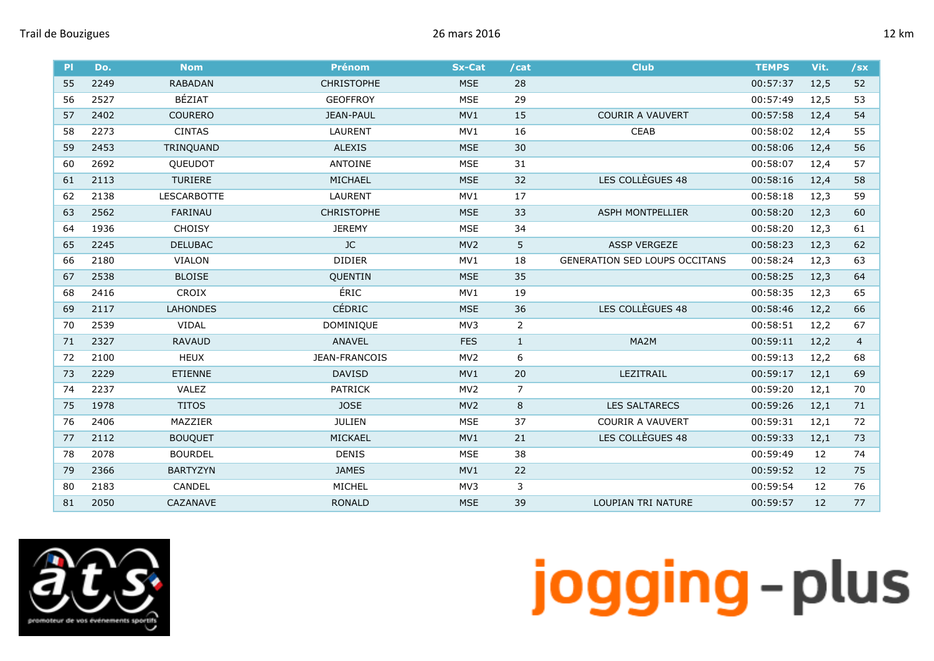|  | ĸm |
|--|----|
|--|----|

| <b>PI</b> | Do.  | <b>Nom</b>         | <b>Prénom</b>     | <b>Sx-Cat</b>   | /cat           | <b>Club</b>                          | <b>TEMPS</b> | Vit. | $/$ sx         |
|-----------|------|--------------------|-------------------|-----------------|----------------|--------------------------------------|--------------|------|----------------|
| 55        | 2249 | <b>RABADAN</b>     | <b>CHRISTOPHE</b> | <b>MSE</b>      | 28             |                                      | 00:57:37     | 12,5 | 52             |
| 56        | 2527 | BÉZIAT             | <b>GEOFFROY</b>   | <b>MSE</b>      | 29             |                                      | 00:57:49     | 12,5 | 53             |
| 57        | 2402 | <b>COURERO</b>     | <b>JEAN-PAUL</b>  | MV1             | 15             | <b>COURIR A VAUVERT</b>              | 00:57:58     | 12,4 | 54             |
| 58        | 2273 | <b>CINTAS</b>      | <b>LAURENT</b>    | MV1             | 16             | <b>CEAB</b>                          | 00:58:02     | 12,4 | 55             |
| 59        | 2453 | TRINQUAND          | <b>ALEXIS</b>     | <b>MSE</b>      | 30             |                                      | 00:58:06     | 12,4 | 56             |
| 60        | 2692 | QUEUDOT            | <b>ANTOINE</b>    | <b>MSE</b>      | 31             |                                      | 00:58:07     | 12,4 | 57             |
| 61        | 2113 | <b>TURIERE</b>     | <b>MICHAEL</b>    | <b>MSE</b>      | 32             | LES COLLÈGUES 48                     | 00:58:16     | 12,4 | 58             |
| 62        | 2138 | <b>LESCARBOTTE</b> | <b>LAURENT</b>    | MV1             | 17             |                                      | 00:58:18     | 12,3 | 59             |
| 63        | 2562 | FARINAU            | <b>CHRISTOPHE</b> | <b>MSE</b>      | 33             | <b>ASPH MONTPELLIER</b>              | 00:58:20     | 12,3 | 60             |
| 64        | 1936 | <b>CHOISY</b>      | <b>JEREMY</b>     | <b>MSE</b>      | 34             |                                      | 00:58:20     | 12,3 | 61             |
| 65        | 2245 | <b>DELUBAC</b>     | JC                | MV <sub>2</sub> | 5              | <b>ASSP VERGEZE</b>                  | 00:58:23     | 12,3 | 62             |
| 66        | 2180 | <b>VIALON</b>      | <b>DIDIER</b>     | MV1             | 18             | <b>GENERATION SED LOUPS OCCITANS</b> | 00:58:24     | 12,3 | 63             |
| 67        | 2538 | <b>BLOISE</b>      | QUENTIN           | <b>MSE</b>      | 35             |                                      | 00:58:25     | 12,3 | 64             |
| 68        | 2416 | <b>CROIX</b>       | ÉRIC              | MV1             | 19             |                                      | 00:58:35     | 12,3 | 65             |
| 69        | 2117 | <b>LAHONDES</b>    | CÉDRIC            | <b>MSE</b>      | 36             | LES COLLÈGUES 48                     | 00:58:46     | 12,2 | 66             |
| 70        | 2539 | <b>VIDAL</b>       | DOMINIQUE         | MV3             | $\overline{2}$ |                                      | 00:58:51     | 12,2 | 67             |
| 71        | 2327 | <b>RAVAUD</b>      | <b>ANAVEL</b>     | <b>FES</b>      | $\mathbf{1}$   | MA2M                                 | 00:59:11     | 12,2 | $\overline{4}$ |
| 72        | 2100 | <b>HEUX</b>        | JEAN-FRANCOIS     | MV <sub>2</sub> | 6              |                                      | 00:59:13     | 12,2 | 68             |
| 73        | 2229 | <b>ETIENNE</b>     | <b>DAVISD</b>     | MV1             | 20             | LEZITRAIL                            | 00:59:17     | 12,1 | 69             |
| 74        | 2237 | VALEZ              | <b>PATRICK</b>    | MV <sub>2</sub> | $\overline{7}$ |                                      | 00:59:20     | 12,1 | 70             |
| 75        | 1978 | <b>TITOS</b>       | <b>JOSE</b>       | MV <sub>2</sub> | 8              | <b>LES SALTARECS</b>                 | 00:59:26     | 12,1 | 71             |
| 76        | 2406 | MAZZIER            | <b>JULIEN</b>     | <b>MSE</b>      | 37             | <b>COURIR A VAUVERT</b>              | 00:59:31     | 12,1 | 72             |
| 77        | 2112 | <b>BOUQUET</b>     | MICKAEL           | MV1             | 21             | LES COLLÈGUES 48                     | 00:59:33     | 12,1 | 73             |
| 78        | 2078 | <b>BOURDEL</b>     | <b>DENIS</b>      | <b>MSE</b>      | 38             |                                      | 00:59:49     | 12   | 74             |
| 79        | 2366 | <b>BARTYZYN</b>    | <b>JAMES</b>      | MV1             | 22             |                                      | 00:59:52     | 12   | 75             |
| 80        | 2183 | CANDEL             | MICHEL            | MV3             | 3              |                                      | 00:59:54     | 12   | 76             |
| 81        | 2050 | CAZANAVE           | <b>RONALD</b>     | <b>MSE</b>      | 39             | LOUPIAN TRI NATURE                   | 00:59:57     | 12   | 77             |

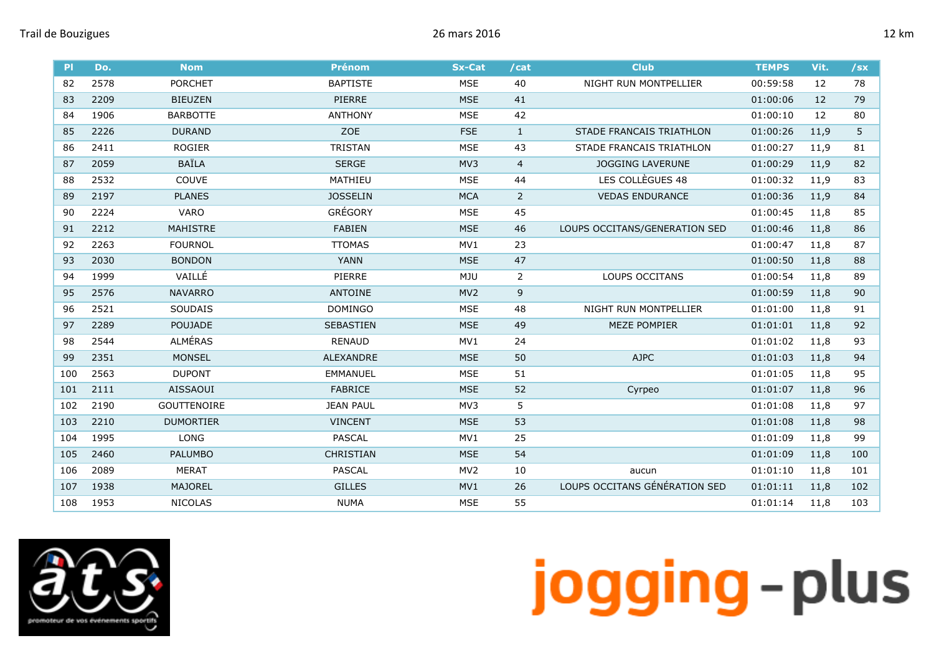

| PI  | Do.  | <b>Nom</b>         | <b>Prénom</b>    | <b>Sx-Cat</b>   | /cat           | <b>Club</b>                   | <b>TEMPS</b> | Vit. | $/$ sx |
|-----|------|--------------------|------------------|-----------------|----------------|-------------------------------|--------------|------|--------|
| 82  | 2578 | <b>PORCHET</b>     | <b>BAPTISTE</b>  | <b>MSE</b>      | 40             | NIGHT RUN MONTPELLIER         | 00:59:58     | 12   | 78     |
| 83  | 2209 | <b>BIEUZEN</b>     | PIERRE           | <b>MSE</b>      | 41             |                               | 01:00:06     | 12   | 79     |
| 84  | 1906 | <b>BARBOTTE</b>    | <b>ANTHONY</b>   | <b>MSE</b>      | 42             |                               | 01:00:10     | 12   | 80     |
| 85  | 2226 | <b>DURAND</b>      | ZOE              | <b>FSE</b>      | $\mathbf{1}$   | STADE FRANCAIS TRIATHLON      | 01:00:26     | 11,9 | 5      |
| 86  | 2411 | <b>ROGIER</b>      | <b>TRISTAN</b>   | <b>MSE</b>      | 43             | STADE FRANCAIS TRIATHLON      | 01:00:27     | 11,9 | 81     |
| 87  | 2059 | <b>BAÏLA</b>       | <b>SERGE</b>     | MV3             | $\overline{4}$ | <b>JOGGING LAVERUNE</b>       | 01:00:29     | 11,9 | 82     |
| 88  | 2532 | COUVE              | MATHIEU          | <b>MSE</b>      | 44             | LES COLLÈGUES 48              | 01:00:32     | 11,9 | 83     |
| 89  | 2197 | <b>PLANES</b>      | <b>JOSSELIN</b>  | <b>MCA</b>      | $\overline{2}$ | <b>VEDAS ENDURANCE</b>        | 01:00:36     | 11,9 | 84     |
| 90  | 2224 | <b>VARO</b>        | GRÉGORY          | <b>MSE</b>      | 45             |                               | 01:00:45     | 11,8 | 85     |
| 91  | 2212 | <b>MAHISTRE</b>    | <b>FABIEN</b>    | <b>MSE</b>      | 46             | LOUPS OCCITANS/GENERATION SED | 01:00:46     | 11,8 | 86     |
| 92  | 2263 | <b>FOURNOL</b>     | <b>TTOMAS</b>    | MV1             | 23             |                               | 01:00:47     | 11,8 | 87     |
| 93  | 2030 | <b>BONDON</b>      | <b>YANN</b>      | <b>MSE</b>      | 47             |                               | 01:00:50     | 11,8 | 88     |
| 94  | 1999 | VAILLÉ             | PIERRE           | MJU             | $\overline{2}$ | LOUPS OCCITANS                | 01:00:54     | 11,8 | 89     |
| 95  | 2576 | <b>NAVARRO</b>     | <b>ANTOINE</b>   | MV <sub>2</sub> | $\mathsf 9$    |                               | 01:00:59     | 11,8 | 90     |
| 96  | 2521 | SOUDAIS            | <b>DOMINGO</b>   | <b>MSE</b>      | 48             | NIGHT RUN MONTPELLIER         | 01:01:00     | 11,8 | 91     |
| 97  | 2289 | <b>POUJADE</b>     | SEBASTIEN        | <b>MSE</b>      | 49             | <b>MEZE POMPIER</b>           | 01:01:01     | 11,8 | 92     |
| 98  | 2544 | <b>ALMÉRAS</b>     | <b>RENAUD</b>    | MV1             | 24             |                               | 01:01:02     | 11,8 | 93     |
| 99  | 2351 | <b>MONSEL</b>      | ALEXANDRE        | <b>MSE</b>      | 50             | <b>AJPC</b>                   | 01:01:03     | 11,8 | 94     |
| 100 | 2563 | <b>DUPONT</b>      | <b>EMMANUEL</b>  | <b>MSE</b>      | 51             |                               | 01:01:05     | 11,8 | 95     |
| 101 | 2111 | <b>AISSAOUI</b>    | <b>FABRICE</b>   | <b>MSE</b>      | 52             | Cyrpeo                        | 01:01:07     | 11,8 | 96     |
| 102 | 2190 | <b>GOUTTENOIRE</b> | <b>JEAN PAUL</b> | MV3             | 5              |                               | 01:01:08     | 11,8 | 97     |
| 103 | 2210 | <b>DUMORTIER</b>   | <b>VINCENT</b>   | <b>MSE</b>      | 53             |                               | 01:01:08     | 11,8 | 98     |
| 104 | 1995 | <b>LONG</b>        | <b>PASCAL</b>    | MV1             | 25             |                               | 01:01:09     | 11,8 | 99     |
| 105 | 2460 | <b>PALUMBO</b>     | <b>CHRISTIAN</b> | <b>MSE</b>      | 54             |                               | 01:01:09     | 11,8 | 100    |
| 106 | 2089 | MERAT              | <b>PASCAL</b>    | MV <sub>2</sub> | 10             | aucun                         | 01:01:10     | 11,8 | 101    |
| 107 | 1938 | <b>MAJOREL</b>     | <b>GILLES</b>    | MV1             | 26             | LOUPS OCCITANS GÉNÉRATION SED | 01:01:11     | 11,8 | 102    |
| 108 | 1953 | <b>NICOLAS</b>     | <b>NUMA</b>      | <b>MSE</b>      | 55             |                               | 01:01:14     | 11,8 | 103    |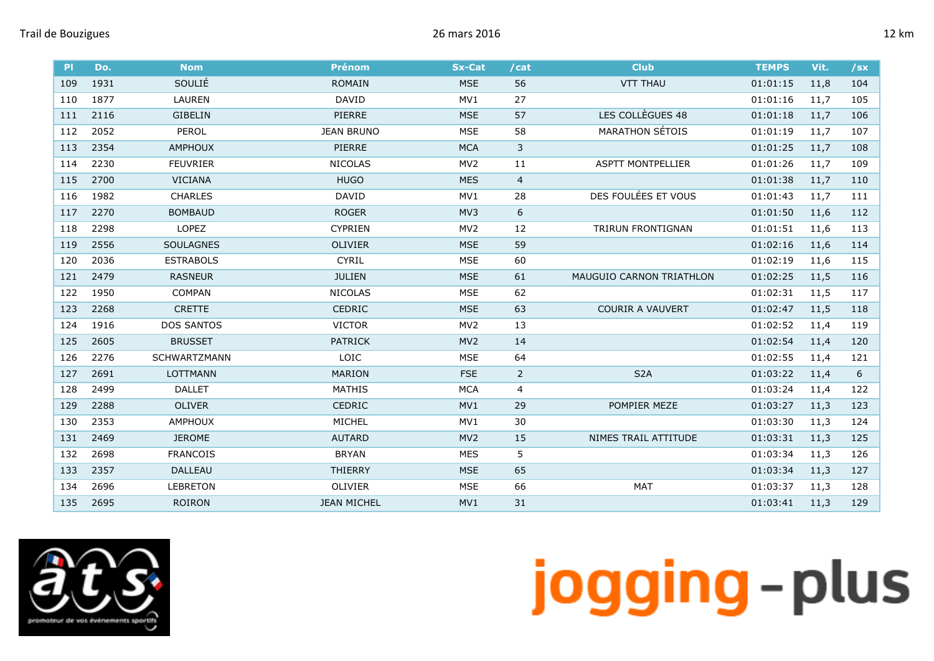

| <b>PI</b> | Do.  | <b>Nom</b>        | <b>Prénom</b>      | <b>Sx-Cat</b>   | /cat           | <b>Club</b>                     | <b>TEMPS</b> | Vit. | /sx |
|-----------|------|-------------------|--------------------|-----------------|----------------|---------------------------------|--------------|------|-----|
| 109       | 1931 | SOULIÉ            | <b>ROMAIN</b>      | <b>MSE</b>      | 56             | <b>VTT THAU</b>                 | 01:01:15     | 11,8 | 104 |
| 110       | 1877 | LAUREN            | <b>DAVID</b>       | MV1             | 27             |                                 | 01:01:16     | 11,7 | 105 |
| 111       | 2116 | <b>GIBELIN</b>    | PIERRE             | <b>MSE</b>      | 57             | LES COLLÈGUES 48                | 01:01:18     | 11,7 | 106 |
| 112       | 2052 | <b>PEROL</b>      | <b>JEAN BRUNO</b>  | <b>MSE</b>      | 58             | <b>MARATHON SÉTOIS</b>          | 01:01:19     | 11,7 | 107 |
| 113       | 2354 | <b>AMPHOUX</b>    | PIERRE             | <b>MCA</b>      | $\mathbf{3}$   |                                 | 01:01:25     | 11,7 | 108 |
| 114       | 2230 | <b>FEUVRIER</b>   | <b>NICOLAS</b>     | MV <sub>2</sub> | 11             | <b>ASPTT MONTPELLIER</b>        | 01:01:26     | 11,7 | 109 |
| 115       | 2700 | <b>VICIANA</b>    | <b>HUGO</b>        | <b>MES</b>      | $\overline{4}$ |                                 | 01:01:38     | 11,7 | 110 |
| 116       | 1982 | <b>CHARLES</b>    | <b>DAVID</b>       | MV1             | 28             | DES FOULÉES ET VOUS             | 01:01:43     | 11,7 | 111 |
| 117       | 2270 | <b>BOMBAUD</b>    | <b>ROGER</b>       | MV3             | 6              |                                 | 01:01:50     | 11,6 | 112 |
| 118       | 2298 | LOPEZ             | <b>CYPRIEN</b>     | MV <sub>2</sub> | 12             | TRIRUN FRONTIGNAN               | 01:01:51     | 11,6 | 113 |
| 119       | 2556 | <b>SOULAGNES</b>  | <b>OLIVIER</b>     | <b>MSE</b>      | 59             |                                 | 01:02:16     | 11,6 | 114 |
| 120       | 2036 | <b>ESTRABOLS</b>  | <b>CYRIL</b>       | <b>MSE</b>      | 60             |                                 | 01:02:19     | 11,6 | 115 |
| 121       | 2479 | <b>RASNEUR</b>    | <b>JULIEN</b>      | <b>MSE</b>      | 61             | <b>MAUGUIO CARNON TRIATHLON</b> | 01:02:25     | 11,5 | 116 |
| 122       | 1950 | <b>COMPAN</b>     | <b>NICOLAS</b>     | <b>MSE</b>      | 62             |                                 | 01:02:31     | 11,5 | 117 |
| 123       | 2268 | <b>CRETTE</b>     | <b>CEDRIC</b>      | <b>MSE</b>      | 63             | <b>COURIR A VAUVERT</b>         | 01:02:47     | 11,5 | 118 |
| 124       | 1916 | <b>DOS SANTOS</b> | <b>VICTOR</b>      | MV <sub>2</sub> | 13             |                                 | 01:02:52     | 11,4 | 119 |
| 125       | 2605 | <b>BRUSSET</b>    | <b>PATRICK</b>     | MV <sub>2</sub> | 14             |                                 | 01:02:54     | 11,4 | 120 |
| 126       | 2276 | SCHWARTZMANN      | LOIC               | <b>MSE</b>      | 64             |                                 | 01:02:55     | 11,4 | 121 |
| 127       | 2691 | <b>LOTTMANN</b>   | <b>MARION</b>      | <b>FSE</b>      | $\overline{2}$ | S <sub>2</sub> A                | 01:03:22     | 11,4 | 6   |
| 128       | 2499 | <b>DALLET</b>     | <b>MATHIS</b>      | <b>MCA</b>      | 4              |                                 | 01:03:24     | 11,4 | 122 |
| 129       | 2288 | <b>OLIVER</b>     | CEDRIC             | MV1             | 29             | POMPIER MEZE                    | 01:03:27     | 11,3 | 123 |
| 130       | 2353 | <b>AMPHOUX</b>    | MICHEL             | MV1             | 30             |                                 | 01:03:30     | 11,3 | 124 |
| 131       | 2469 | <b>JEROME</b>     | <b>AUTARD</b>      | MV <sub>2</sub> | 15             | NIMES TRAIL ATTITUDE            | 01:03:31     | 11,3 | 125 |
| 132       | 2698 | <b>FRANCOIS</b>   | <b>BRYAN</b>       | <b>MES</b>      | 5              |                                 | 01:03:34     | 11,3 | 126 |
| 133       | 2357 | <b>DALLEAU</b>    | <b>THIERRY</b>     | <b>MSE</b>      | 65             |                                 | 01:03:34     | 11,3 | 127 |
| 134       | 2696 | <b>LEBRETON</b>   | <b>OLIVIER</b>     | <b>MSE</b>      | 66             | <b>MAT</b>                      | 01:03:37     | 11,3 | 128 |
| 135       | 2695 | <b>ROIRON</b>     | <b>JEAN MICHEL</b> | MV1             | 31             |                                 | 01:03:41     | 11,3 | 129 |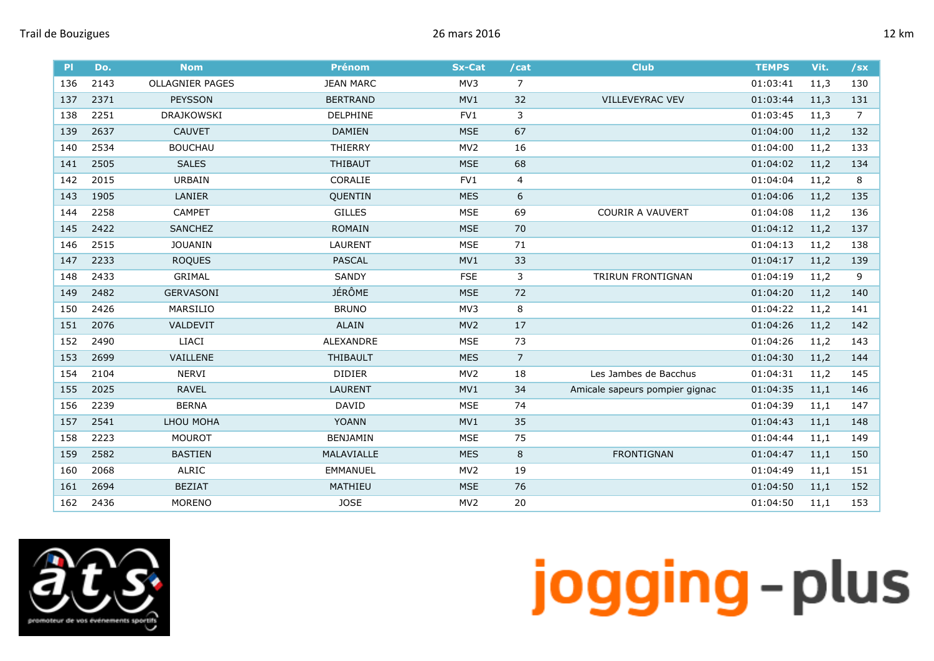| P   | Do.  | <b>Nom</b>             | <b>Prénom</b>    | <b>Sx-Cat</b>   | /cat           | <b>Club</b>                    | <b>TEMPS</b> | Vit. | $/$ sx |
|-----|------|------------------------|------------------|-----------------|----------------|--------------------------------|--------------|------|--------|
| 136 | 2143 | <b>OLLAGNIER PAGES</b> | <b>JEAN MARC</b> | MV3             | $\overline{7}$ |                                | 01:03:41     | 11,3 | 130    |
| 137 | 2371 | <b>PEYSSON</b>         | <b>BERTRAND</b>  | MV1             | 32             | <b>VILLEVEYRAC VEV</b>         | 01:03:44     | 11,3 | 131    |
| 138 | 2251 | <b>DRAJKOWSKI</b>      | DELPHINE         | FV1             | 3              |                                | 01:03:45     | 11,3 | 7      |
| 139 | 2637 | <b>CAUVET</b>          | <b>DAMIEN</b>    | <b>MSE</b>      | 67             |                                | 01:04:00     | 11,2 | 132    |
| 140 | 2534 | <b>BOUCHAU</b>         | <b>THIERRY</b>   | MV <sub>2</sub> | 16             |                                | 01:04:00     | 11,2 | 133    |
| 141 | 2505 | <b>SALES</b>           | <b>THIBAUT</b>   | <b>MSE</b>      | 68             |                                | 01:04:02     | 11,2 | 134    |
| 142 | 2015 | URBAIN                 | CORALIE          | FV1             | 4              |                                | 01:04:04     | 11,2 | 8      |
| 143 | 1905 | <b>LANIER</b>          | <b>OUENTIN</b>   | <b>MES</b>      | 6              |                                | 01:04:06     | 11,2 | 135    |
| 144 | 2258 | <b>CAMPET</b>          | <b>GILLES</b>    | <b>MSE</b>      | 69             | <b>COURIR A VAUVERT</b>        | 01:04:08     | 11,2 | 136    |
| 145 | 2422 | SANCHEZ                | ROMAIN           | <b>MSE</b>      | 70             |                                | 01:04:12     | 11,2 | 137    |
| 146 | 2515 | <b>JOUANIN</b>         | <b>LAURENT</b>   | <b>MSE</b>      | 71             |                                | 01:04:13     | 11,2 | 138    |
| 147 | 2233 | <b>ROQUES</b>          | <b>PASCAL</b>    | MV1             | 33             |                                | 01:04:17     | 11,2 | 139    |
| 148 | 2433 | <b>GRIMAL</b>          | <b>SANDY</b>     | <b>FSE</b>      | 3              | TRIRUN FRONTIGNAN              | 01:04:19     | 11,2 | 9      |
| 149 | 2482 | <b>GERVASONI</b>       | <b>JÉRÔME</b>    | <b>MSE</b>      | 72             |                                | 01:04:20     | 11,2 | 140    |
| 150 | 2426 | MARSILIO               | <b>BRUNO</b>     | MV3             | 8              |                                | 01:04:22     | 11,2 | 141    |
| 151 | 2076 | VALDEVIT               | <b>ALAIN</b>     | MV <sub>2</sub> | 17             |                                | 01:04:26     | 11,2 | 142    |
| 152 | 2490 | <b>LIACI</b>           | <b>ALEXANDRE</b> | <b>MSE</b>      | 73             |                                | 01:04:26     | 11,2 | 143    |
| 153 | 2699 | VAILLENE               | THIBAULT         | <b>MES</b>      | $\overline{7}$ |                                | 01:04:30     | 11,2 | 144    |
| 154 | 2104 | <b>NERVI</b>           | <b>DIDIER</b>    | MV <sub>2</sub> | 18             | Les Jambes de Bacchus          | 01:04:31     | 11,2 | 145    |
| 155 | 2025 | <b>RAVEL</b>           | <b>LAURENT</b>   | MV1             | 34             | Amicale sapeurs pompier gignac | 01:04:35     | 11,1 | 146    |
| 156 | 2239 | <b>BERNA</b>           | <b>DAVID</b>     | <b>MSE</b>      | 74             |                                | 01:04:39     | 11,1 | 147    |
| 157 | 2541 | LHOU MOHA              | <b>YOANN</b>     | MV1             | 35             |                                | 01:04:43     | 11,1 | 148    |
| 158 | 2223 | <b>MOUROT</b>          | <b>BENJAMIN</b>  | <b>MSE</b>      | 75             |                                | 01:04:44     | 11,1 | 149    |
| 159 | 2582 | <b>BASTIEN</b>         | MALAVIALLE       | <b>MES</b>      | 8              | <b>FRONTIGNAN</b>              | 01:04:47     | 11,1 | 150    |
| 160 | 2068 | ALRIC                  | <b>EMMANUEL</b>  | MV <sub>2</sub> | 19             |                                | 01:04:49     | 11,1 | 151    |
| 161 | 2694 | <b>BEZIAT</b>          | MATHIEU          | <b>MSE</b>      | 76             |                                | 01:04:50     | 11,1 | 152    |
| 162 | 2436 | <b>MORENO</b>          | <b>JOSE</b>      | MV <sub>2</sub> | 20             |                                | 01:04:50     | 11,1 | 153    |

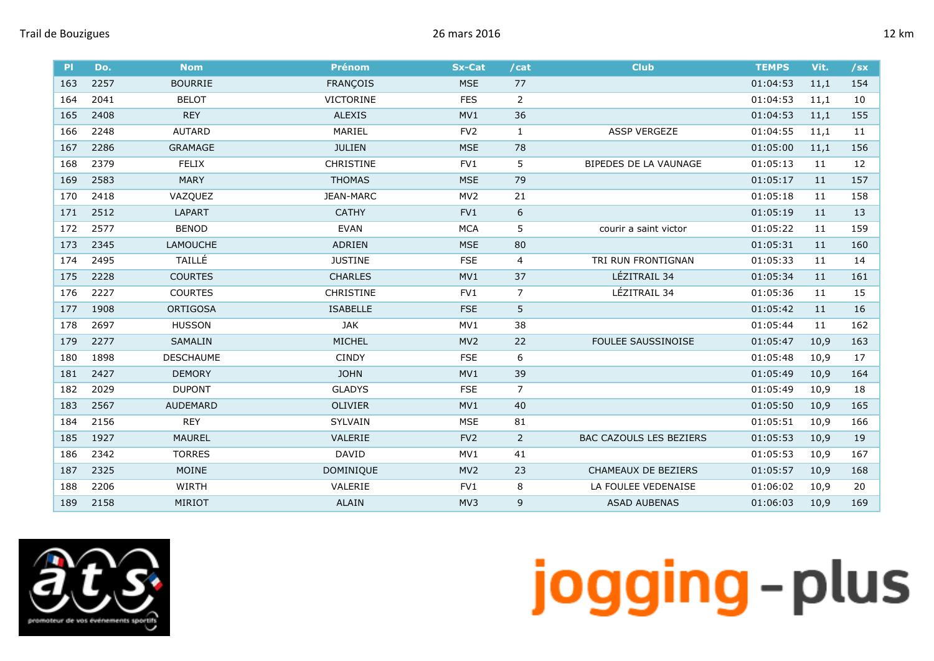

| P   | Do.  | <b>Nom</b>       | <b>Prénom</b>    | <b>Sx-Cat</b>   | /cat             | <b>Club</b>                    | <b>TEMPS</b> | Vit. | $/$ sx |
|-----|------|------------------|------------------|-----------------|------------------|--------------------------------|--------------|------|--------|
| 163 | 2257 | <b>BOURRIE</b>   | <b>FRANÇOIS</b>  | <b>MSE</b>      | 77               |                                | 01:04:53     | 11,1 | 154    |
| 164 | 2041 | <b>BELOT</b>     | <b>VICTORINE</b> | <b>FES</b>      | $\overline{2}$   |                                | 01:04:53     | 11,1 | 10     |
| 165 | 2408 | <b>REY</b>       | <b>ALEXIS</b>    | MV1             | 36               |                                | 01:04:53     | 11,1 | 155    |
| 166 | 2248 | <b>AUTARD</b>    | MARIEL           | FV <sub>2</sub> | $\mathbf{1}$     | <b>ASSP VERGEZE</b>            | 01:04:55     | 11,1 | 11     |
| 167 | 2286 | <b>GRAMAGE</b>   | <b>JULIEN</b>    | <b>MSE</b>      | 78               |                                | 01:05:00     | 11,1 | 156    |
| 168 | 2379 | <b>FELIX</b>     | CHRISTINE        | FV1             | 5                | BIPEDES DE LA VAUNAGE          | 01:05:13     | 11   | 12     |
| 169 | 2583 | <b>MARY</b>      | <b>THOMAS</b>    | <b>MSE</b>      | 79               |                                | 01:05:17     | 11   | 157    |
| 170 | 2418 | VAZQUEZ          | JEAN-MARC        | MV <sub>2</sub> | 21               |                                | 01:05:18     | 11   | 158    |
| 171 | 2512 | LAPART           | <b>CATHY</b>     | FV1             | $\boldsymbol{6}$ |                                | 01:05:19     | 11   | 13     |
| 172 | 2577 | <b>BENOD</b>     | <b>EVAN</b>      | <b>MCA</b>      | 5                | courir a saint victor          | 01:05:22     | 11   | 159    |
| 173 | 2345 | <b>LAMOUCHE</b>  | ADRIEN           | <b>MSE</b>      | 80               |                                | 01:05:31     | 11   | 160    |
| 174 | 2495 | TAILLÉ           | <b>JUSTINE</b>   | <b>FSE</b>      | 4                | TRI RUN FRONTIGNAN             | 01:05:33     | 11   | 14     |
| 175 | 2228 | <b>COURTES</b>   | <b>CHARLES</b>   | MV1             | 37               | LÉZITRAIL 34                   | 01:05:34     | 11   | 161    |
| 176 | 2227 | <b>COURTES</b>   | <b>CHRISTINE</b> | FV1             | $\overline{7}$   | LÉZITRAIL 34                   | 01:05:36     | 11   | 15     |
| 177 | 1908 | <b>ORTIGOSA</b>  | <b>ISABELLE</b>  | <b>FSE</b>      | 5                |                                | 01:05:42     | 11   | 16     |
| 178 | 2697 | <b>HUSSON</b>    | JAK              | MV1             | 38               |                                | 01:05:44     | 11   | 162    |
| 179 | 2277 | SAMALIN          | MICHEL           | MV <sub>2</sub> | 22               | FOULEE SAUSSINOISE             | 01:05:47     | 10,9 | 163    |
| 180 | 1898 | <b>DESCHAUME</b> | <b>CINDY</b>     | <b>FSE</b>      | 6                |                                | 01:05:48     | 10,9 | 17     |
| 181 | 2427 | <b>DEMORY</b>    | <b>JOHN</b>      | MV1             | 39               |                                | 01:05:49     | 10,9 | 164    |
| 182 | 2029 | <b>DUPONT</b>    | <b>GLADYS</b>    | <b>FSE</b>      | $\overline{7}$   |                                | 01:05:49     | 10,9 | 18     |
| 183 | 2567 | <b>AUDEMARD</b>  | OLIVIER          | MV1             | 40               |                                | 01:05:50     | 10,9 | 165    |
| 184 | 2156 | <b>REY</b>       | <b>SYLVAIN</b>   | <b>MSE</b>      | 81               |                                | 01:05:51     | 10,9 | 166    |
| 185 | 1927 | <b>MAUREL</b>    | VALERIE          | FV <sub>2</sub> | $\overline{2}$   | <b>BAC CAZOULS LES BEZIERS</b> | 01:05:53     | 10,9 | 19     |
| 186 | 2342 | <b>TORRES</b>    | <b>DAVID</b>     | MV1             | 41               |                                | 01:05:53     | 10,9 | 167    |
| 187 | 2325 | <b>MOINE</b>     | DOMINIQUE        | MV <sub>2</sub> | 23               | CHAMEAUX DE BEZIERS            | 01:05:57     | 10,9 | 168    |
| 188 | 2206 | WIRTH            | VALERIE          | FV1             | 8                | LA FOULEE VEDENAISE            | 01:06:02     | 10,9 | 20     |
| 189 | 2158 | MIRIOT           | <b>ALAIN</b>     | MV3             | 9                | <b>ASAD AUBENAS</b>            | 01:06:03     | 10,9 | 169    |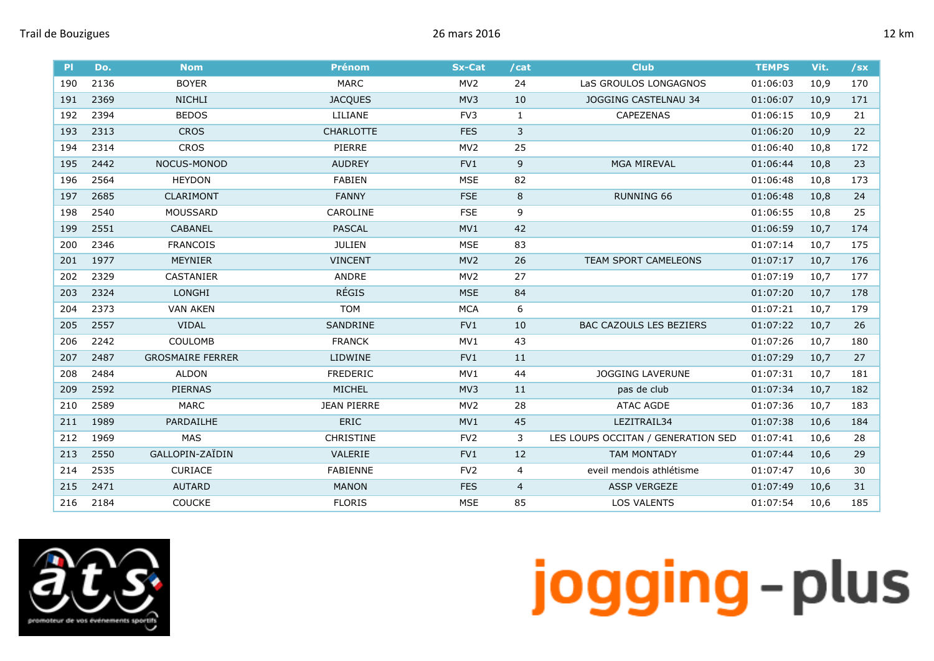| P   | Do.  | <b>Nom</b>              | <b>Prénom</b>      | <b>Sx-Cat</b>   | /cat           | <b>Club</b>                        | <b>TEMPS</b> | Vit. | $\sqrt{sx}$ |
|-----|------|-------------------------|--------------------|-----------------|----------------|------------------------------------|--------------|------|-------------|
| 190 | 2136 | <b>BOYER</b>            | <b>MARC</b>        | MV <sub>2</sub> | 24             | LaS GROULOS LONGAGNOS              | 01:06:03     | 10,9 | 170         |
| 191 | 2369 | <b>NICHLI</b>           | <b>JACQUES</b>     | MV3             | 10             | <b>JOGGING CASTELNAU 34</b>        | 01:06:07     | 10,9 | 171         |
| 192 | 2394 | <b>BEDOS</b>            | LILIANE            | FV3             | $\mathbf{1}$   | CAPEZENAS                          | 01:06:15     | 10,9 | 21          |
| 193 | 2313 | <b>CROS</b>             | <b>CHARLOTTE</b>   | <b>FES</b>      | 3              |                                    | 01:06:20     | 10,9 | 22          |
| 194 | 2314 | <b>CROS</b>             | PIERRE             | MV <sub>2</sub> | 25             |                                    | 01:06:40     | 10,8 | 172         |
| 195 | 2442 | NOCUS-MONOD             | <b>AUDREY</b>      | FV1             | 9              | <b>MGA MIREVAL</b>                 | 01:06:44     | 10,8 | 23          |
| 196 | 2564 | <b>HEYDON</b>           | <b>FABIEN</b>      | <b>MSE</b>      | 82             |                                    | 01:06:48     | 10,8 | 173         |
| 197 | 2685 | <b>CLARIMONT</b>        | <b>FANNY</b>       | <b>FSE</b>      | 8              | <b>RUNNING 66</b>                  | 01:06:48     | 10,8 | 24          |
| 198 | 2540 | <b>MOUSSARD</b>         | CAROLINE           | <b>FSE</b>      | 9              |                                    | 01:06:55     | 10,8 | 25          |
| 199 | 2551 | <b>CABANEL</b>          | <b>PASCAL</b>      | MV1             | 42             |                                    | 01:06:59     | 10,7 | 174         |
| 200 | 2346 | <b>FRANCOIS</b>         | <b>JULIEN</b>      | <b>MSE</b>      | 83             |                                    | 01:07:14     | 10,7 | 175         |
| 201 | 1977 | <b>MEYNIER</b>          | <b>VINCENT</b>     | MV <sub>2</sub> | 26             | TEAM SPORT CAMELEONS               | 01:07:17     | 10,7 | 176         |
| 202 | 2329 | <b>CASTANIER</b>        | ANDRE              | MV <sub>2</sub> | 27             |                                    | 01:07:19     | 10,7 | 177         |
| 203 | 2324 | <b>LONGHI</b>           | <b>RÉGIS</b>       | <b>MSE</b>      | 84             |                                    | 01:07:20     | 10,7 | 178         |
| 204 | 2373 | <b>VAN AKEN</b>         | <b>TOM</b>         | <b>MCA</b>      | 6              |                                    | 01:07:21     | 10,7 | 179         |
| 205 | 2557 | <b>VIDAL</b>            | SANDRINE           | FV1             | 10             | <b>BAC CAZOULS LES BEZIERS</b>     | 01:07:22     | 10,7 | 26          |
| 206 | 2242 | <b>COULOMB</b>          | <b>FRANCK</b>      | MV1             | 43             |                                    | 01:07:26     | 10,7 | 180         |
| 207 | 2487 | <b>GROSMAIRE FERRER</b> | <b>LIDWINE</b>     | FV <sub>1</sub> | 11             |                                    | 01:07:29     | 10,7 | 27          |
| 208 | 2484 | <b>ALDON</b>            | <b>FREDERIC</b>    | MV1             | 44             | <b>JOGGING LAVERUNE</b>            | 01:07:31     | 10,7 | 181         |
| 209 | 2592 | <b>PIERNAS</b>          | MICHEL             | MV3             | 11             | pas de club                        | 01:07:34     | 10,7 | 182         |
| 210 | 2589 | <b>MARC</b>             | <b>JEAN PIERRE</b> | MV <sub>2</sub> | 28             | ATAC AGDE                          | 01:07:36     | 10,7 | 183         |
| 211 | 1989 | PARDAILHE               | ERIC               | MV1             | 45             | LEZITRAIL34                        | 01:07:38     | 10,6 | 184         |
| 212 | 1969 | MAS                     | <b>CHRISTINE</b>   | FV <sub>2</sub> | 3              | LES LOUPS OCCITAN / GENERATION SED | 01:07:41     | 10,6 | 28          |
| 213 | 2550 | GALLOPIN-ZAÏDIN         | VALERIE            | FV1             | 12             | <b>TAM MONTADY</b>                 | 01:07:44     | 10,6 | 29          |
| 214 | 2535 | <b>CURIACE</b>          | <b>FABIENNE</b>    | FV <sub>2</sub> | 4              | eveil mendois athlétisme           | 01:07:47     | 10,6 | 30          |
| 215 | 2471 | <b>AUTARD</b>           | <b>MANON</b>       | <b>FES</b>      | $\overline{4}$ | <b>ASSP VERGEZE</b>                | 01:07:49     | 10,6 | 31          |
| 216 | 2184 | <b>COUCKE</b>           | <b>FLORIS</b>      | <b>MSE</b>      | 85             | <b>LOS VALENTS</b>                 | 01:07:54     | 10,6 | 185         |

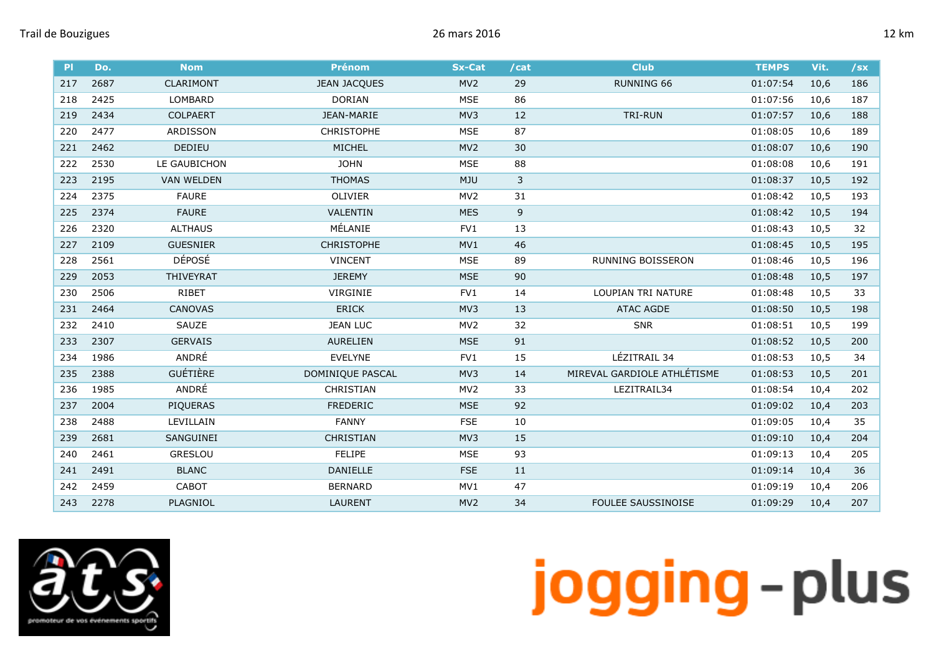| P   | Do.  | <b>Nom</b>        | <b>Prénom</b>       | <b>Sx-Cat</b>   | /cat | <b>Club</b>                 | <b>TEMPS</b> | Vit. | $/$ sx |
|-----|------|-------------------|---------------------|-----------------|------|-----------------------------|--------------|------|--------|
| 217 | 2687 | CLARIMONT         | <b>JEAN JACQUES</b> | MV <sub>2</sub> | 29   | <b>RUNNING 66</b>           | 01:07:54     | 10,6 | 186    |
| 218 | 2425 | LOMBARD           | <b>DORIAN</b>       | <b>MSE</b>      | 86   |                             | 01:07:56     | 10,6 | 187    |
| 219 | 2434 | <b>COLPAERT</b>   | JEAN-MARIE          | MV3             | 12   | TRI-RUN                     | 01:07:57     | 10,6 | 188    |
| 220 | 2477 | ARDISSON          | <b>CHRISTOPHE</b>   | <b>MSE</b>      | 87   |                             | 01:08:05     | 10,6 | 189    |
| 221 | 2462 | <b>DEDIEU</b>     | MICHEL              | MV <sub>2</sub> | 30   |                             | 01:08:07     | 10,6 | 190    |
| 222 | 2530 | LE GAUBICHON      | <b>JOHN</b>         | <b>MSE</b>      | 88   |                             | 01:08:08     | 10,6 | 191    |
| 223 | 2195 | <b>VAN WELDEN</b> | <b>THOMAS</b>       | <b>MJU</b>      | 3    |                             | 01:08:37     | 10,5 | 192    |
| 224 | 2375 | <b>FAURE</b>      | OLIVIER             | MV <sub>2</sub> | 31   |                             | 01:08:42     | 10,5 | 193    |
| 225 | 2374 | <b>FAURE</b>      | VALENTIN            | <b>MES</b>      | 9    |                             | 01:08:42     | 10,5 | 194    |
| 226 | 2320 | <b>ALTHAUS</b>    | MÉLANIE             | FV1             | 13   |                             | 01:08:43     | 10,5 | 32     |
| 227 | 2109 | <b>GUESNIER</b>   | <b>CHRISTOPHE</b>   | MV1             | 46   |                             | 01:08:45     | 10,5 | 195    |
| 228 | 2561 | <b>DÉPOSÉ</b>     | <b>VINCENT</b>      | <b>MSE</b>      | 89   | RUNNING BOISSERON           | 01:08:46     | 10,5 | 196    |
| 229 | 2053 | THIVEYRAT         | <b>JEREMY</b>       | <b>MSE</b>      | 90   |                             | 01:08:48     | 10,5 | 197    |
| 230 | 2506 | <b>RIBET</b>      | VIRGINIE            | FV1             | 14   | <b>LOUPIAN TRI NATURE</b>   | 01:08:48     | 10,5 | 33     |
| 231 | 2464 | <b>CANOVAS</b>    | <b>ERICK</b>        | MV3             | 13   | <b>ATAC AGDE</b>            | 01:08:50     | 10,5 | 198    |
| 232 | 2410 | SAUZE             | <b>JEAN LUC</b>     | MV <sub>2</sub> | 32   | <b>SNR</b>                  | 01:08:51     | 10,5 | 199    |
| 233 | 2307 | <b>GERVAIS</b>    | <b>AURELIEN</b>     | <b>MSE</b>      | 91   |                             | 01:08:52     | 10,5 | 200    |
| 234 | 1986 | ANDRÉ             | <b>EVELYNE</b>      | FV1             | 15   | LÉZITRAIL 34                | 01:08:53     | 10,5 | 34     |
| 235 | 2388 | <b>GUÉTIÈRE</b>   | DOMINIQUE PASCAL    | MV3             | 14   | MIREVAL GARDIOLE ATHLÉTISME | 01:08:53     | 10,5 | 201    |
| 236 | 1985 | ANDRÉ             | <b>CHRISTIAN</b>    | MV <sub>2</sub> | 33   | LEZITRAIL34                 | 01:08:54     | 10,4 | 202    |
| 237 | 2004 | PIQUERAS          | <b>FREDERIC</b>     | <b>MSE</b>      | 92   |                             | 01:09:02     | 10,4 | 203    |
| 238 | 2488 | LEVILLAIN         | <b>FANNY</b>        | <b>FSE</b>      | 10   |                             | 01:09:05     | 10,4 | 35     |
| 239 | 2681 | SANGUINEI         | <b>CHRISTIAN</b>    | MV3             | 15   |                             | 01:09:10     | 10,4 | 204    |
| 240 | 2461 | <b>GRESLOU</b>    | <b>FELIPE</b>       | <b>MSE</b>      | 93   |                             | 01:09:13     | 10,4 | 205    |
| 241 | 2491 | <b>BLANC</b>      | DANIELLE            | <b>FSE</b>      | 11   |                             | 01:09:14     | 10,4 | 36     |
| 242 | 2459 | <b>CABOT</b>      | <b>BERNARD</b>      | MV1             | 47   |                             | 01:09:19     | 10,4 | 206    |
| 243 | 2278 | PLAGNIOL          | <b>LAURENT</b>      | MV <sub>2</sub> | 34   | <b>FOULEE SAUSSINOISE</b>   | 01:09:29     | 10,4 | 207    |

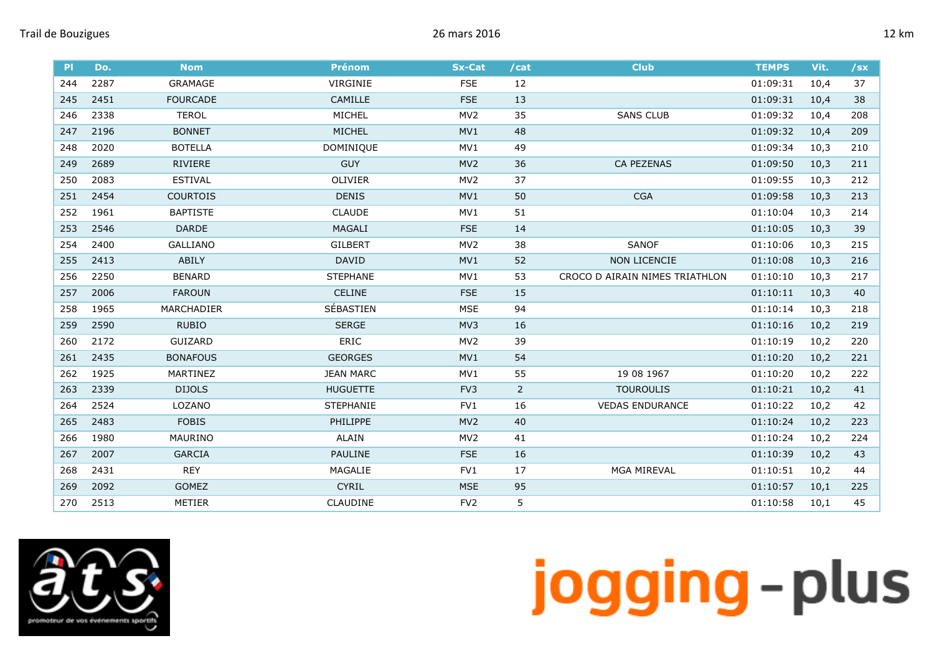| P <sub>1</sub> | Do.  | <b>Nom</b>      | <b>Prénom</b>    | <b>Sx-Cat</b>   | /cat           | <b>Club</b>                    | <b>TEMPS</b> | Vit. | $/$ sx |
|----------------|------|-----------------|------------------|-----------------|----------------|--------------------------------|--------------|------|--------|
| 244            | 2287 | GRAMAGE         | VIRGINIE         | <b>FSE</b>      | 12             |                                | 01:09:31     | 10,4 | 37     |
| 245            | 2451 | <b>FOURCADE</b> | <b>CAMILLE</b>   | <b>FSE</b>      | 13             |                                | 01:09:31     | 10,4 | 38     |
| 246            | 2338 | <b>TEROL</b>    | MICHEL           | MV <sub>2</sub> | 35             | <b>SANS CLUB</b>               | 01:09:32     | 10,4 | 208    |
| 247            | 2196 | <b>BONNET</b>   | MICHEL           | MV1             | 48             |                                | 01:09:32     | 10,4 | 209    |
| 248            | 2020 | <b>BOTELLA</b>  | DOMINIQUE        | MV1             | 49             |                                | 01:09:34     | 10,3 | 210    |
| 249            | 2689 | RIVIERE         | <b>GUY</b>       | MV <sub>2</sub> | 36             | <b>CA PEZENAS</b>              | 01:09:50     | 10,3 | 211    |
| 250            | 2083 | <b>ESTIVAL</b>  | OLIVIER          | MV <sub>2</sub> | 37             |                                | 01:09:55     | 10,3 | 212    |
| 251            | 2454 | <b>COURTOIS</b> | <b>DENIS</b>     | MV1             | 50             | <b>CGA</b>                     | 01:09:58     | 10,3 | 213    |
| 252            | 1961 | <b>BAPTISTE</b> | <b>CLAUDE</b>    | MV1             | 51             |                                | 01:10:04     | 10,3 | 214    |
| 253            | 2546 | DARDE           | <b>MAGALI</b>    | <b>FSE</b>      | 14             |                                | 01:10:05     | 10,3 | 39     |
| 254            | 2400 | <b>GALLIANO</b> | <b>GILBERT</b>   | MV <sub>2</sub> | 38             | <b>SANOF</b>                   | 01:10:06     | 10,3 | 215    |
| 255            | 2413 | ABILY           | <b>DAVID</b>     | MV1             | 52             | <b>NON LICENCIE</b>            | 01:10:08     | 10,3 | 216    |
| 256            | 2250 | <b>BENARD</b>   | <b>STEPHANE</b>  | MV1             | 53             | CROCO D AIRAIN NIMES TRIATHLON | 01:10:10     | 10,3 | 217    |
| 257            | 2006 | <b>FAROUN</b>   | <b>CELINE</b>    | <b>FSE</b>      | 15             |                                | 01:10:11     | 10,3 | 40     |
| 258            | 1965 | MARCHADIER      | SÉBASTIEN        | <b>MSE</b>      | 94             |                                | 01:10:14     | 10,3 | 218    |
| 259            | 2590 | <b>RUBIO</b>    | <b>SERGE</b>     | MV3             | 16             |                                | 01:10:16     | 10,2 | 219    |
| 260            | 2172 | GUIZARD         | ERIC             | MV <sub>2</sub> | 39             |                                | 01:10:19     | 10,2 | 220    |
| 261            | 2435 | <b>BONAFOUS</b> | <b>GEORGES</b>   | MV1             | 54             |                                | 01:10:20     | 10,2 | 221    |
| 262            | 1925 | MARTINEZ        | <b>JEAN MARC</b> | MV1             | 55             | 19 08 1967                     | 01:10:20     | 10,2 | 222    |
| 263            | 2339 | <b>DIJOLS</b>   | <b>HUGUETTE</b>  | FV3             | $\overline{2}$ | <b>TOUROULIS</b>               | 01:10:21     | 10,2 | 41     |
| 264            | 2524 | LOZANO          | <b>STEPHANIE</b> | FV1             | 16             | <b>VEDAS ENDURANCE</b>         | 01:10:22     | 10,2 | 42     |
| 265            | 2483 | <b>FOBIS</b>    | PHILIPPE         | MV <sub>2</sub> | 40             |                                | 01:10:24     | 10,2 | 223    |
| 266            | 1980 | MAURINO         | ALAIN            | MV <sub>2</sub> | 41             |                                | 01:10:24     | 10,2 | 224    |
| 267            | 2007 | <b>GARCIA</b>   | PAULINE          | <b>FSE</b>      | 16             |                                | 01:10:39     | 10,2 | 43     |
| 268            | 2431 | <b>REY</b>      | MAGALIE          | FV1             | 17             | <b>MGA MIREVAL</b>             | 01:10:51     | 10,2 | 44     |
| 269            | 2092 | <b>GOMEZ</b>    | <b>CYRIL</b>     | <b>MSE</b>      | 95             |                                | 01:10:57     | 10,1 | 225    |
| 270            | 2513 | <b>METIER</b>   | <b>CLAUDINE</b>  | FV <sub>2</sub> | 5              |                                | 01:10:58     | 10,1 | 45     |

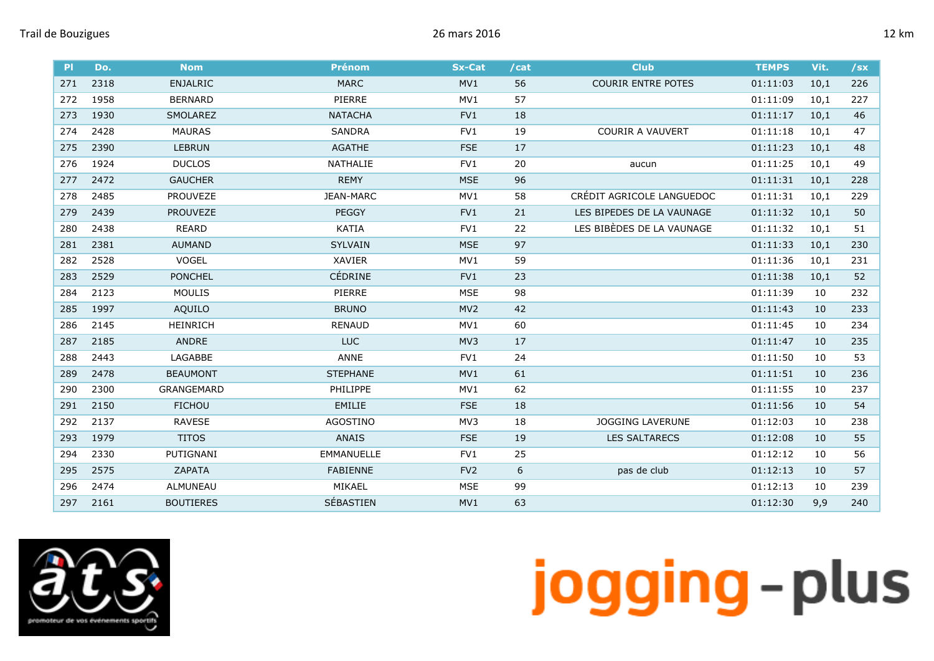| P   | Do.  | <b>Nom</b>        | <b>Prénom</b>     | <b>Sx-Cat</b>   | /cat | <b>Club</b>               | <b>TEMPS</b> | Vit. | $/$ sx |
|-----|------|-------------------|-------------------|-----------------|------|---------------------------|--------------|------|--------|
| 271 | 2318 | <b>ENJALRIC</b>   | <b>MARC</b>       | MV1             | 56   | <b>COURIR ENTRE POTES</b> | 01:11:03     | 10,1 | 226    |
| 272 | 1958 | <b>BERNARD</b>    | PIERRE            | MV1             | 57   |                           | 01:11:09     | 10,1 | 227    |
| 273 | 1930 | <b>SMOLAREZ</b>   | <b>NATACHA</b>    | FV1             | 18   |                           | 01:11:17     | 10,1 | 46     |
| 274 | 2428 | <b>MAURAS</b>     | <b>SANDRA</b>     | FV1             | 19   | <b>COURIR A VAUVERT</b>   | 01:11:18     | 10,1 | 47     |
| 275 | 2390 | <b>LEBRUN</b>     | <b>AGATHE</b>     | <b>FSE</b>      | 17   |                           | 01:11:23     | 10,1 | 48     |
| 276 | 1924 | <b>DUCLOS</b>     | NATHALIE          | FV1             | 20   | aucun                     | 01:11:25     | 10,1 | 49     |
| 277 | 2472 | <b>GAUCHER</b>    | <b>REMY</b>       | <b>MSE</b>      | 96   |                           | 01:11:31     | 10,1 | 228    |
| 278 | 2485 | <b>PROUVEZE</b>   | JEAN-MARC         | MV1             | 58   | CRÉDIT AGRICOLE LANGUEDOC | 01:11:31     | 10,1 | 229    |
| 279 | 2439 | <b>PROUVEZE</b>   | <b>PEGGY</b>      | FV1             | 21   | LES BIPEDES DE LA VAUNAGE | 01:11:32     | 10,1 | 50     |
| 280 | 2438 | <b>REARD</b>      | KATIA             | FV1             | 22   | LES BIBÈDES DE LA VAUNAGE | 01:11:32     | 10,1 | 51     |
| 281 | 2381 | <b>AUMAND</b>     | <b>SYLVAIN</b>    | <b>MSE</b>      | 97   |                           | 01:11:33     | 10,1 | 230    |
| 282 | 2528 | VOGEL             | <b>XAVIER</b>     | MV1             | 59   |                           | 01:11:36     | 10,1 | 231    |
| 283 | 2529 | <b>PONCHEL</b>    | <b>CÉDRINE</b>    | FV1             | 23   |                           | 01:11:38     | 10,1 | 52     |
| 284 | 2123 | <b>MOULIS</b>     | PIERRE            | <b>MSE</b>      | 98   |                           | 01:11:39     | 10   | 232    |
| 285 | 1997 | AQUILO            | <b>BRUNO</b>      | MV <sub>2</sub> | 42   |                           | 01:11:43     | 10   | 233    |
| 286 | 2145 | <b>HEINRICH</b>   | <b>RENAUD</b>     | MV1             | 60   |                           | 01:11:45     | 10   | 234    |
| 287 | 2185 | ANDRE             | <b>LUC</b>        | MV3             | 17   |                           | 01:11:47     | 10   | 235    |
| 288 | 2443 | LAGABBE           | <b>ANNE</b>       | FV1             | 24   |                           | 01:11:50     | 10   | 53     |
| 289 | 2478 | <b>BEAUMONT</b>   | <b>STEPHANE</b>   | MV1             | 61   |                           | 01:11:51     | 10   | 236    |
| 290 | 2300 | <b>GRANGEMARD</b> | <b>PHILIPPE</b>   | MV1             | 62   |                           | 01:11:55     | 10   | 237    |
| 291 | 2150 | <b>FICHOU</b>     | <b>EMILIE</b>     | <b>FSE</b>      | 18   |                           | 01:11:56     | 10   | 54     |
| 292 | 2137 | <b>RAVESE</b>     | AGOSTINO          | MV3             | 18   | <b>JOGGING LAVERUNE</b>   | 01:12:03     | 10   | 238    |
| 293 | 1979 | <b>TITOS</b>      | <b>ANAIS</b>      | <b>FSE</b>      | 19   | <b>LES SALTARECS</b>      | 01:12:08     | 10   | 55     |
| 294 | 2330 | PUTIGNANI         | <b>EMMANUELLE</b> | FV1             | 25   |                           | 01:12:12     | 10   | 56     |
| 295 | 2575 | ZAPATA            | <b>FABIENNE</b>   | FV <sub>2</sub> | 6    | pas de club               | 01:12:13     | 10   | 57     |
| 296 | 2474 | ALMUNEAU          | MIKAEL            | <b>MSE</b>      | 99   |                           | 01:12:13     | 10   | 239    |
| 297 | 2161 | <b>BOUTIERES</b>  | SÉBASTIEN         | MV1             | 63   |                           | 01:12:30     | 9,9  | 240    |

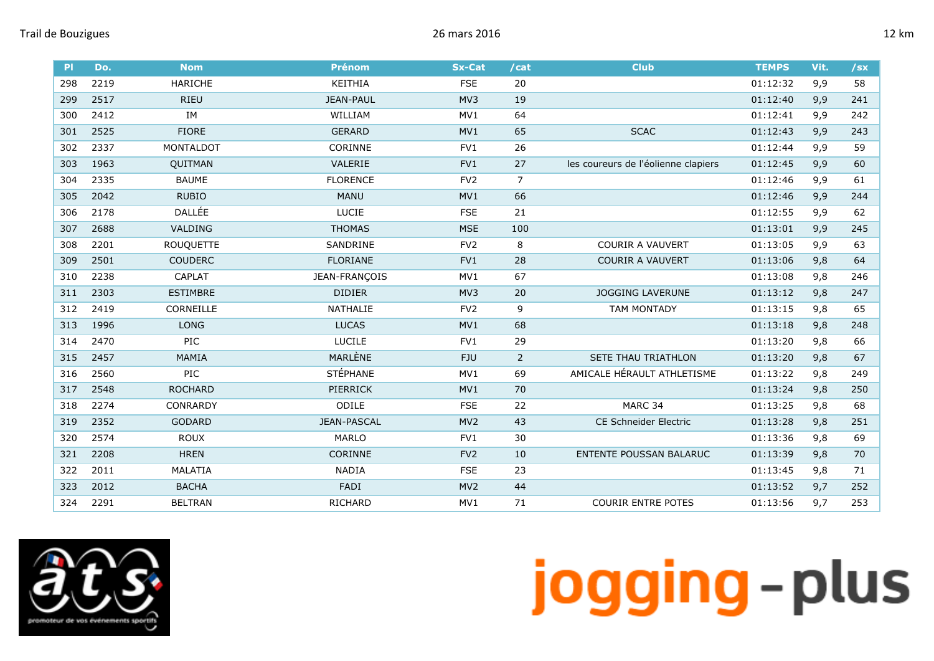| P <sub>1</sub> | Do.  | <b>Nom</b>       | <b>Prénom</b>      | <b>Sx-Cat</b>   | /cat           | <b>Club</b>                         | <b>TEMPS</b> | Vit. | $/$ sx |
|----------------|------|------------------|--------------------|-----------------|----------------|-------------------------------------|--------------|------|--------|
| 298            | 2219 | <b>HARICHE</b>   | KEITHIA            | <b>FSE</b>      | 20             |                                     | 01:12:32     | 9,9  | 58     |
| 299            | 2517 | <b>RIEU</b>      | <b>JEAN-PAUL</b>   | MV3             | 19             |                                     | 01:12:40     | 9,9  | 241    |
| 300            | 2412 | IM               | WILLIAM            | MV1             | 64             |                                     | 01:12:41     | 9,9  | 242    |
| 301            | 2525 | <b>FIORE</b>     | <b>GERARD</b>      | MV1             | 65             | <b>SCAC</b>                         | 01:12:43     | 9,9  | 243    |
| 302            | 2337 | MONTALDOT        | <b>CORINNE</b>     | FV1             | 26             |                                     | 01:12:44     | 9,9  | 59     |
| 303            | 1963 | QUITMAN          | VALERIE            | FV1             | 27             | les coureurs de l'éolienne clapiers | 01:12:45     | 9,9  | 60     |
| 304            | 2335 | <b>BAUME</b>     | <b>FLORENCE</b>    | FV <sub>2</sub> | $\overline{7}$ |                                     | 01:12:46     | 9,9  | 61     |
| 305            | 2042 | <b>RUBIO</b>     | <b>MANU</b>        | MV1             | 66             |                                     | 01:12:46     | 9,9  | 244    |
| 306            | 2178 | DALLÉE           | LUCIE              | <b>FSE</b>      | 21             |                                     | 01:12:55     | 9,9  | 62     |
| 307            | 2688 | VALDING          | <b>THOMAS</b>      | <b>MSE</b>      | 100            |                                     | 01:13:01     | 9,9  | 245    |
| 308            | 2201 | <b>ROUQUETTE</b> | SANDRINE           | FV <sub>2</sub> | 8              | <b>COURIR A VAUVERT</b>             | 01:13:05     | 9,9  | 63     |
| 309            | 2501 | <b>COUDERC</b>   | <b>FLORIANE</b>    | FV1             | 28             | <b>COURIR A VAUVERT</b>             | 01:13:06     | 9,8  | 64     |
| 310            | 2238 | <b>CAPLAT</b>    | JEAN-FRANÇOIS      | MV1             | 67             |                                     | 01:13:08     | 9,8  | 246    |
| 311            | 2303 | <b>ESTIMBRE</b>  | <b>DIDIER</b>      | MV3             | 20             | <b>JOGGING LAVERUNE</b>             | 01:13:12     | 9,8  | 247    |
| 312            | 2419 | CORNEILLE        | NATHALIE           | FV <sub>2</sub> | 9              | <b>TAM MONTADY</b>                  | 01:13:15     | 9,8  | 65     |
| 313            | 1996 | <b>LONG</b>      | <b>LUCAS</b>       | MV1             | 68             |                                     | 01:13:18     | 9,8  | 248    |
| 314            | 2470 | PIC              | <b>LUCILE</b>      | FVI             | 29             |                                     | 01:13:20     | 9,8  | 66     |
| 315            | 2457 | MAMIA            | MARLÈNE            | <b>FJU</b>      | $\overline{2}$ | SETE THAU TRIATHLON                 | 01:13:20     | 9,8  | 67     |
| 316            | 2560 | PIC              | <b>STÉPHANE</b>    | MV1             | 69             | AMICALE HÉRAULT ATHLETISME          | 01:13:22     | 9,8  | 249    |
| 317            | 2548 | <b>ROCHARD</b>   | PIERRICK           | MV1             | 70             |                                     | 01:13:24     | 9,8  | 250    |
| 318            | 2274 | CONRARDY         | ODILE              | <b>FSE</b>      | 22             | MARC 34                             | 01:13:25     | 9,8  | 68     |
| 319            | 2352 | <b>GODARD</b>    | <b>JEAN-PASCAL</b> | MV <sub>2</sub> | 43             | <b>CE Schneider Electric</b>        | 01:13:28     | 9,8  | 251    |
| 320            | 2574 | <b>ROUX</b>      | <b>MARLO</b>       | FV1             | 30             |                                     | 01:13:36     | 9,8  | 69     |
| 321            | 2208 | <b>HREN</b>      | <b>CORINNE</b>     | FV <sub>2</sub> | 10             | <b>ENTENTE POUSSAN BALARUC</b>      | 01:13:39     | 9,8  | 70     |
| 322            | 2011 | MALATIA          | <b>NADIA</b>       | <b>FSE</b>      | 23             |                                     | 01:13:45     | 9,8  | 71     |
| 323            | 2012 | <b>BACHA</b>     | FADI               | MV <sub>2</sub> | 44             |                                     | 01:13:52     | 9,7  | 252    |
| 324            | 2291 | <b>BELTRAN</b>   | RICHARD            | MV1             | 71             | <b>COURIR ENTRE POTES</b>           | 01:13:56     | 9,7  | 253    |

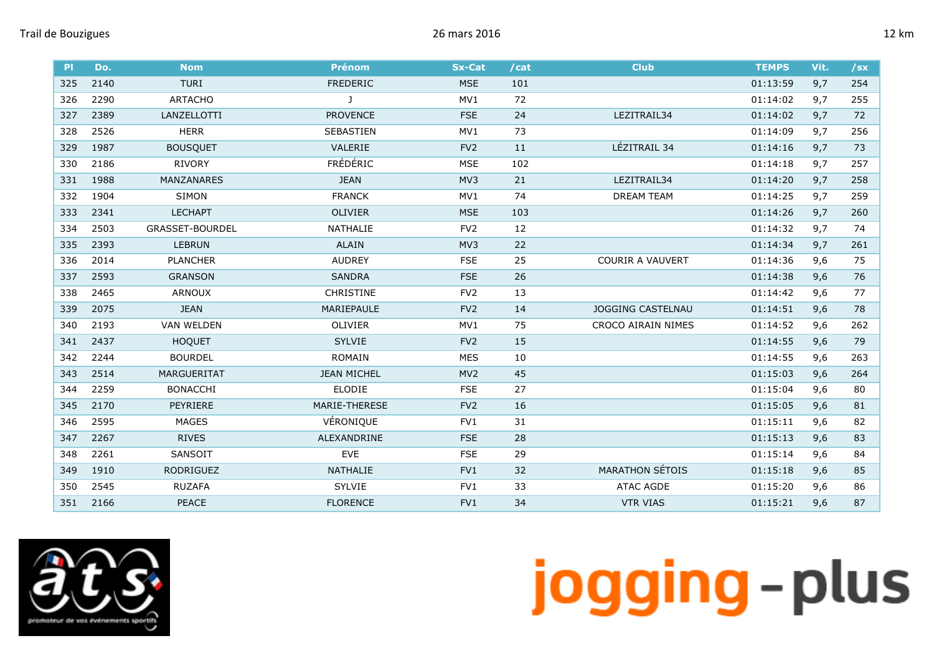| P <sub>1</sub> | Do.  | <b>Nom</b>             | <b>Prénom</b>      | <b>Sx-Cat</b>   | /cat | <b>Club</b>              | <b>TEMPS</b> | Vit. | $/$ sx |
|----------------|------|------------------------|--------------------|-----------------|------|--------------------------|--------------|------|--------|
| 325            | 2140 | <b>TURI</b>            | <b>FREDERIC</b>    | <b>MSE</b>      | 101  |                          | 01:13:59     | 9,7  | 254    |
| 326            | 2290 | <b>ARTACHO</b>         | J                  | MV1             | 72   |                          | 01:14:02     | 9,7  | 255    |
| 327            | 2389 | LANZELLOTTI            | <b>PROVENCE</b>    | <b>FSE</b>      | 24   | LEZITRAIL34              | 01:14:02     | 9,7  | 72     |
| 328            | 2526 | <b>HERR</b>            | SEBASTIEN          | MV1             | 73   |                          | 01:14:09     | 9,7  | 256    |
| 329            | 1987 | <b>BOUSQUET</b>        | VALERIE            | FV <sub>2</sub> | 11   | LÉZITRAIL 34             | 01:14:16     | 9,7  | 73     |
| 330            | 2186 | <b>RIVORY</b>          | FRÉDÉRIC           | <b>MSE</b>      | 102  |                          | 01:14:18     | 9,7  | 257    |
| 331            | 1988 | MANZANARES             | <b>JEAN</b>        | MV3             | 21   | LEZITRAIL34              | 01:14:20     | 9,7  | 258    |
| 332            | 1904 | SIMON                  | <b>FRANCK</b>      | MV1             | 74   | <b>DREAM TEAM</b>        | 01:14:25     | 9,7  | 259    |
| 333            | 2341 | <b>LECHAPT</b>         | <b>OLIVIER</b>     | <b>MSE</b>      | 103  |                          | 01:14:26     | 9,7  | 260    |
| 334            | 2503 | <b>GRASSET-BOURDEL</b> | <b>NATHALIE</b>    | FV <sub>2</sub> | 12   |                          | 01:14:32     | 9,7  | 74     |
| 335            | 2393 | <b>LEBRUN</b>          | <b>ALAIN</b>       | MV3             | 22   |                          | 01:14:34     | 9,7  | 261    |
| 336            | 2014 | <b>PLANCHER</b>        | <b>AUDREY</b>      | <b>FSE</b>      | 25   | <b>COURIR A VAUVERT</b>  | 01:14:36     | 9,6  | 75     |
| 337            | 2593 | <b>GRANSON</b>         | <b>SANDRA</b>      | <b>FSE</b>      | 26   |                          | 01:14:38     | 9,6  | 76     |
| 338            | 2465 | <b>ARNOUX</b>          | <b>CHRISTINE</b>   | FV <sub>2</sub> | 13   |                          | 01:14:42     | 9,6  | 77     |
| 339            | 2075 | <b>JEAN</b>            | MARIEPAULE         | FV <sub>2</sub> | 14   | <b>JOGGING CASTELNAU</b> | 01:14:51     | 9,6  | 78     |
| 340            | 2193 | <b>VAN WELDEN</b>      | <b>OLIVIER</b>     | MV1             | 75   | CROCO AIRAIN NIMES       | 01:14:52     | 9,6  | 262    |
| 341            | 2437 | <b>HOQUET</b>          | <b>SYLVIE</b>      | FV <sub>2</sub> | 15   |                          | 01:14:55     | 9,6  | 79     |
| 342            | 2244 | <b>BOURDEL</b>         | <b>ROMAIN</b>      | <b>MES</b>      | 10   |                          | 01:14:55     | 9,6  | 263    |
| 343            | 2514 | <b>MARGUERITAT</b>     | <b>JEAN MICHEL</b> | MV <sub>2</sub> | 45   |                          | 01:15:03     | 9,6  | 264    |
| 344            | 2259 | <b>BONACCHI</b>        | <b>ELODIE</b>      | <b>FSE</b>      | 27   |                          | 01:15:04     | 9,6  | 80     |
| 345            | 2170 | PEYRIERE               | MARIE-THERESE      | FV <sub>2</sub> | 16   |                          | 01:15:05     | 9,6  | 81     |
| 346            | 2595 | <b>MAGES</b>           | VÉRONIQUE          | FV1             | 31   |                          | 01:15:11     | 9,6  | 82     |
| 347            | 2267 | <b>RIVES</b>           | ALEXANDRINE        | <b>FSE</b>      | 28   |                          | 01:15:13     | 9,6  | 83     |
| 348            | 2261 | SANSOIT                | <b>EVE</b>         | <b>FSE</b>      | 29   |                          | 01:15:14     | 9,6  | 84     |
| 349            | 1910 | <b>RODRIGUEZ</b>       | <b>NATHALIE</b>    | FV1             | 32   | <b>MARATHON SÉTOIS</b>   | 01:15:18     | 9,6  | 85     |
| 350            | 2545 | <b>RUZAFA</b>          | <b>SYLVIE</b>      | FV1             | 33   | <b>ATAC AGDE</b>         | 01:15:20     | 9,6  | 86     |
| 351            | 2166 | <b>PEACE</b>           | <b>FLORENCE</b>    | FVI             | 34   | <b>VTR VIAS</b>          | 01:15:21     | 9,6  | 87     |

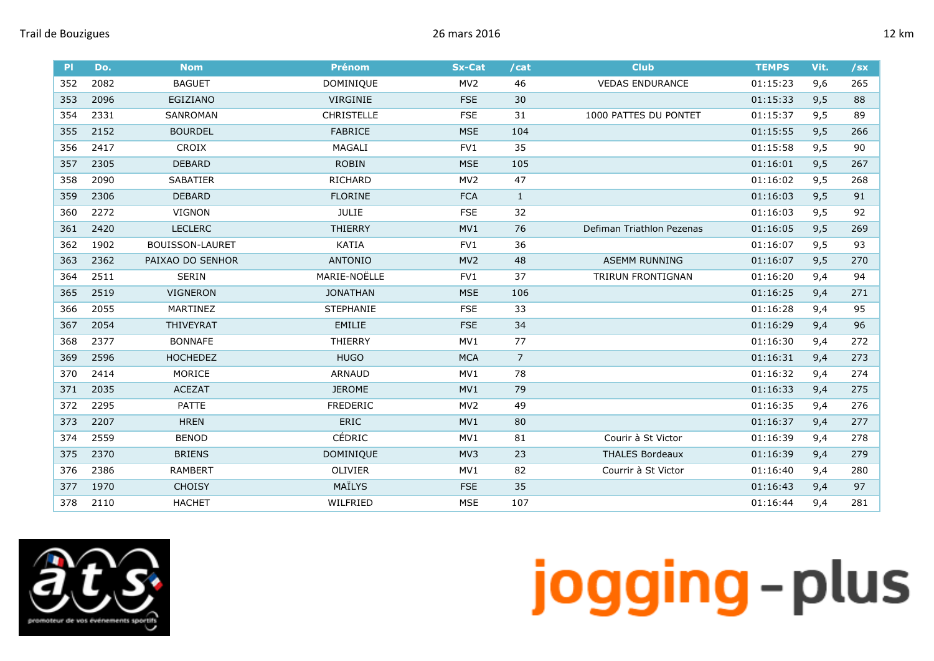| P   | Do.  | <b>Nom</b>             | <b>Prénom</b>     | <b>Sx-Cat</b>   | /cat           | <b>Club</b>               | <b>TEMPS</b> | Vit. | $\sqrt{sx}$ |
|-----|------|------------------------|-------------------|-----------------|----------------|---------------------------|--------------|------|-------------|
| 352 | 2082 | <b>BAGUET</b>          | DOMINIQUE         | MV <sub>2</sub> | 46             | <b>VEDAS ENDURANCE</b>    | 01:15:23     | 9,6  | 265         |
| 353 | 2096 | EGIZIANO               | VIRGINIE          | <b>FSE</b>      | 30             |                           | 01:15:33     | 9,5  | 88          |
| 354 | 2331 | SANROMAN               | <b>CHRISTELLE</b> | <b>FSE</b>      | 31             | 1000 PATTES DU PONTET     | 01:15:37     | 9,5  | 89          |
| 355 | 2152 | <b>BOURDEL</b>         | <b>FABRICE</b>    | <b>MSE</b>      | 104            |                           | 01:15:55     | 9,5  | 266         |
| 356 | 2417 | CROIX                  | MAGALI            | FV1             | 35             |                           | 01:15:58     | 9,5  | 90          |
| 357 | 2305 | <b>DEBARD</b>          | <b>ROBIN</b>      | <b>MSE</b>      | 105            |                           | 01:16:01     | 9,5  | 267         |
| 358 | 2090 | SABATIER               | RICHARD           | MV <sub>2</sub> | 47             |                           | 01:16:02     | 9,5  | 268         |
| 359 | 2306 | <b>DEBARD</b>          | <b>FLORINE</b>    | <b>FCA</b>      | $\mathbf{1}$   |                           | 01:16:03     | 9,5  | 91          |
| 360 | 2272 | <b>VIGNON</b>          | <b>JULIE</b>      | <b>FSE</b>      | 32             |                           | 01:16:03     | 9,5  | 92          |
| 361 | 2420 | <b>LECLERC</b>         | <b>THIERRY</b>    | MV1             | 76             | Defiman Triathlon Pezenas | 01:16:05     | 9,5  | 269         |
| 362 | 1902 | <b>BOUISSON-LAURET</b> | <b>KATIA</b>      | FV1             | 36             |                           | 01:16:07     | 9,5  | 93          |
| 363 | 2362 | PAIXAO DO SENHOR       | <b>ANTONIO</b>    | MV <sub>2</sub> | 48             | <b>ASEMM RUNNING</b>      | 01:16:07     | 9,5  | 270         |
| 364 | 2511 | <b>SERIN</b>           | MARIE-NOËLLE      | FV1             | 37             | TRIRUN FRONTIGNAN         | 01:16:20     | 9,4  | 94          |
| 365 | 2519 | <b>VIGNERON</b>        | <b>JONATHAN</b>   | <b>MSE</b>      | 106            |                           | 01:16:25     | 9,4  | 271         |
| 366 | 2055 | MARTINEZ               | <b>STEPHANIE</b>  | <b>FSE</b>      | 33             |                           | 01:16:28     | 9,4  | 95          |
| 367 | 2054 | THIVEYRAT              | EMILIE            | <b>FSE</b>      | 34             |                           | 01:16:29     | 9,4  | 96          |
| 368 | 2377 | <b>BONNAFE</b>         | THIERRY           | MV1             | 77             |                           | 01:16:30     | 9,4  | 272         |
| 369 | 2596 | <b>HOCHEDEZ</b>        | <b>HUGO</b>       | <b>MCA</b>      | $\overline{7}$ |                           | 01:16:31     | 9,4  | 273         |
| 370 | 2414 | MORICE                 | <b>ARNAUD</b>     | MV1             | 78             |                           | 01:16:32     | 9,4  | 274         |
| 371 | 2035 | <b>ACEZAT</b>          | <b>JEROME</b>     | MV1             | 79             |                           | 01:16:33     | 9,4  | 275         |
| 372 | 2295 | PATTE                  | <b>FREDERIC</b>   | MV <sub>2</sub> | 49             |                           | 01:16:35     | 9,4  | 276         |
| 373 | 2207 | <b>HREN</b>            | ERIC              | MV1             | 80             |                           | 01:16:37     | 9,4  | 277         |
| 374 | 2559 | <b>BENOD</b>           | CÉDRIC            | MV1             | 81             | Courir à St Victor        | 01:16:39     | 9,4  | 278         |
| 375 | 2370 | <b>BRIENS</b>          | DOMINIQUE         | MV3             | 23             | <b>THALES Bordeaux</b>    | 01:16:39     | 9,4  | 279         |
| 376 | 2386 | <b>RAMBERT</b>         | OLIVIER           | MV1             | 82             | Courrir à St Victor       | 01:16:40     | 9,4  | 280         |
| 377 | 1970 | <b>CHOISY</b>          | MAÏLYS            | <b>FSE</b>      | 35             |                           | 01:16:43     | 9,4  | 97          |
| 378 | 2110 | <b>HACHET</b>          | WILFRIED          | <b>MSE</b>      | 107            |                           | 01:16:44     | 9,4  | 281         |

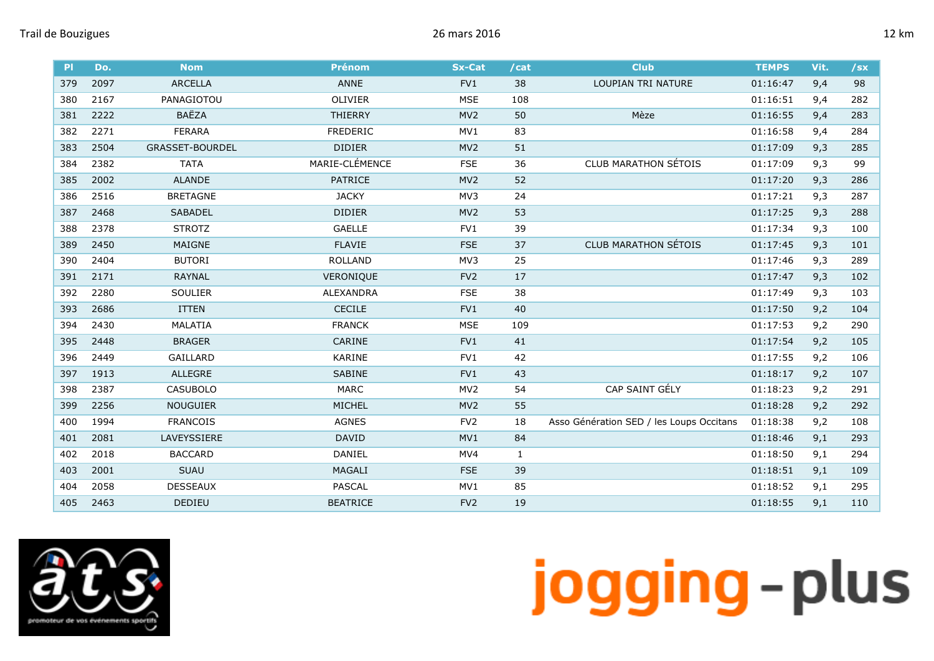|  | н |  |
|--|---|--|
|  |   |  |

| P <sub>1</sub> | Do.  | <b>Nom</b>             | <b>Prénom</b>    | <b>Sx-Cat</b>   | /cat         | <b>Club</b>                              | <b>TEMPS</b> | Vit. | $/$ sx |
|----------------|------|------------------------|------------------|-----------------|--------------|------------------------------------------|--------------|------|--------|
| 379            | 2097 | <b>ARCELLA</b>         | ANNE             | FV1             | 38           | LOUPIAN TRI NATURE                       | 01:16:47     | 9,4  | 98     |
| 380            | 2167 | PANAGIOTOU             | OLIVIER          | <b>MSE</b>      | 108          |                                          | 01:16:51     | 9,4  | 282    |
| 381            | 2222 | BAËZA                  | <b>THIERRY</b>   | MV <sub>2</sub> | 50           | Mèze                                     | 01:16:55     | 9,4  | 283    |
| 382            | 2271 | <b>FERARA</b>          | <b>FREDERIC</b>  | MV1             | 83           |                                          | 01:16:58     | 9,4  | 284    |
| 383            | 2504 | <b>GRASSET-BOURDEL</b> | <b>DIDIER</b>    | MV <sub>2</sub> | 51           |                                          | 01:17:09     | 9,3  | 285    |
| 384            | 2382 | <b>TATA</b>            | MARIE-CLÉMENCE   | <b>FSE</b>      | 36           | <b>CLUB MARATHON SÉTOIS</b>              | 01:17:09     | 9,3  | 99     |
| 385            | 2002 | <b>ALANDE</b>          | <b>PATRICE</b>   | MV <sub>2</sub> | 52           |                                          | 01:17:20     | 9,3  | 286    |
| 386            | 2516 | <b>BRETAGNE</b>        | <b>JACKY</b>     | MV3             | 24           |                                          | 01:17:21     | 9,3  | 287    |
| 387            | 2468 | SABADEL                | <b>DIDIER</b>    | MV <sub>2</sub> | 53           |                                          | 01:17:25     | 9,3  | 288    |
| 388            | 2378 | <b>STROTZ</b>          | <b>GAELLE</b>    | FV1             | 39           |                                          | 01:17:34     | 9,3  | 100    |
| 389            | 2450 | MAIGNE                 | <b>FLAVIE</b>    | <b>FSE</b>      | 37           | <b>CLUB MARATHON SÉTOIS</b>              | 01:17:45     | 9,3  | 101    |
| 390            | 2404 | <b>BUTORI</b>          | <b>ROLLAND</b>   | MV3             | 25           |                                          | 01:17:46     | 9,3  | 289    |
| 391            | 2171 | <b>RAYNAL</b>          | VERONIQUE        | FV <sub>2</sub> | $17\,$       |                                          | 01:17:47     | 9,3  | 102    |
| 392            | 2280 | <b>SOULIER</b>         | <b>ALEXANDRA</b> | <b>FSE</b>      | 38           |                                          | 01:17:49     | 9,3  | 103    |
| 393            | 2686 | <b>ITTEN</b>           | <b>CECILE</b>    | FV1             | 40           |                                          | 01:17:50     | 9,2  | 104    |
| 394            | 2430 | MALATIA                | <b>FRANCK</b>    | <b>MSE</b>      | 109          |                                          | 01:17:53     | 9,2  | 290    |
| 395            | 2448 | <b>BRAGER</b>          | CARINE           | FV1             | 41           |                                          | 01:17:54     | 9,2  | 105    |
| 396            | 2449 | GAILLARD               | KARINE           | FV1             | 42           |                                          | 01:17:55     | 9,2  | 106    |
| 397            | 1913 | ALLEGRE                | SABINE           | FV1             | 43           |                                          | 01:18:17     | 9,2  | 107    |
| 398            | 2387 | <b>CASUBOLO</b>        | <b>MARC</b>      | MV <sub>2</sub> | 54           | CAP SAINT GÉLY                           | 01:18:23     | 9,2  | 291    |
| 399            | 2256 | <b>NOUGUIER</b>        | <b>MICHEL</b>    | MV <sub>2</sub> | 55           |                                          | 01:18:28     | 9,2  | 292    |
| 400            | 1994 | <b>FRANCOIS</b>        | <b>AGNES</b>     | FV <sub>2</sub> | 18           | Asso Génération SED / les Loups Occitans | 01:18:38     | 9,2  | 108    |
| 401            | 2081 | LAVEYSSIERE            | <b>DAVID</b>     | MV1             | 84           |                                          | 01:18:46     | 9,1  | 293    |
| 402            | 2018 | <b>BACCARD</b>         | DANIEL           | MV4             | $\mathbf{1}$ |                                          | 01:18:50     | 9,1  | 294    |
| 403            | 2001 | SUAU                   | MAGALI           | <b>FSE</b>      | 39           |                                          | 01:18:51     | 9,1  | 109    |
| 404            | 2058 | <b>DESSEAUX</b>        | <b>PASCAL</b>    | MV1             | 85           |                                          | 01:18:52     | 9,1  | 295    |
| 405            | 2463 | DEDIEU                 | <b>BEATRICE</b>  | FV <sub>2</sub> | 19           |                                          | 01:18:55     | 9,1  | 110    |

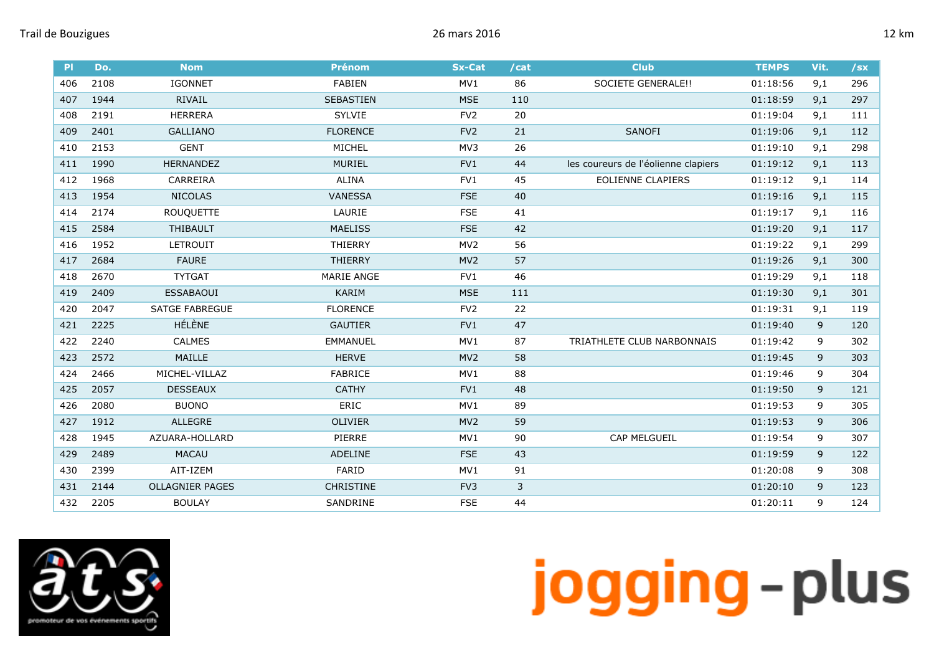| PI  | Do.  | <b>Nom</b>             | <b>Prénom</b>    | <b>Sx-Cat</b>   | /cat | <b>Club</b>                         | <b>TEMPS</b> | Vit. | $\sqrt{sx}$ |
|-----|------|------------------------|------------------|-----------------|------|-------------------------------------|--------------|------|-------------|
| 406 | 2108 | <b>IGONNET</b>         | FABIEN           | MV1             | 86   | SOCIETE GENERALE!!                  | 01:18:56     | 9,1  | 296         |
| 407 | 1944 | RIVAIL                 | <b>SEBASTIEN</b> | <b>MSE</b>      | 110  |                                     | 01:18:59     | 9,1  | 297         |
| 408 | 2191 | <b>HERRERA</b>         | <b>SYLVIE</b>    | FV <sub>2</sub> | 20   |                                     | 01:19:04     | 9,1  | 111         |
| 409 | 2401 | <b>GALLIANO</b>        | <b>FLORENCE</b>  | FV <sub>2</sub> | 21   | SANOFI                              | 01:19:06     | 9,1  | 112         |
| 410 | 2153 | <b>GENT</b>            | MICHEL           | MV3             | 26   |                                     | 01:19:10     | 9,1  | 298         |
| 411 | 1990 | <b>HERNANDEZ</b>       | <b>MURIEL</b>    | FV1             | 44   | les coureurs de l'éolienne clapiers | 01:19:12     | 9,1  | 113         |
| 412 | 1968 | CARREIRA               | <b>ALINA</b>     | FV1             | 45   | <b>EOLIENNE CLAPIERS</b>            | 01:19:12     | 9,1  | 114         |
| 413 | 1954 | <b>NICOLAS</b>         | VANESSA          | <b>FSE</b>      | 40   |                                     | 01:19:16     | 9,1  | 115         |
| 414 | 2174 | <b>ROUQUETTE</b>       | LAURIE           | <b>FSE</b>      | 41   |                                     | 01:19:17     | 9,1  | 116         |
| 415 | 2584 | THIBAULT               | <b>MAELISS</b>   | <b>FSE</b>      | 42   |                                     | 01:19:20     | 9,1  | 117         |
| 416 | 1952 | <b>LETROUIT</b>        | <b>THIERRY</b>   | MV <sub>2</sub> | 56   |                                     | 01:19:22     | 9,1  | 299         |
| 417 | 2684 | <b>FAURE</b>           | <b>THIERRY</b>   | MV <sub>2</sub> | 57   |                                     | 01:19:26     | 9,1  | 300         |
| 418 | 2670 | <b>TYTGAT</b>          | MARIE ANGE       | FV1             | 46   |                                     | 01:19:29     | 9,1  | 118         |
| 419 | 2409 | <b>ESSABAOUI</b>       | KARIM            | <b>MSE</b>      | 111  |                                     | 01:19:30     | 9,1  | 301         |
| 420 | 2047 | <b>SATGE FABREGUE</b>  | <b>FLORENCE</b>  | FV <sub>2</sub> | 22   |                                     | 01:19:31     | 9,1  | 119         |
| 421 | 2225 | HÉLÈNE                 | <b>GAUTIER</b>   | FV1             | 47   |                                     | 01:19:40     | 9    | 120         |
| 422 | 2240 | <b>CALMES</b>          | <b>EMMANUEL</b>  | MV1             | 87   | TRIATHLETE CLUB NARBONNAIS          | 01:19:42     | 9    | 302         |
| 423 | 2572 | MAILLE                 | <b>HERVE</b>     | MV <sub>2</sub> | 58   |                                     | 01:19:45     | 9    | 303         |
| 424 | 2466 | MICHEL-VILLAZ          | FABRICE          | MV1             | 88   |                                     | 01:19:46     | 9    | 304         |
| 425 | 2057 | <b>DESSEAUX</b>        | <b>CATHY</b>     | FV1             | 48   |                                     | 01:19:50     | 9    | 121         |
| 426 | 2080 | <b>BUONO</b>           | ERIC             | MV1             | 89   |                                     | 01:19:53     | 9    | 305         |
| 427 | 1912 | <b>ALLEGRE</b>         | OLIVIER          | MV <sub>2</sub> | 59   |                                     | 01:19:53     | 9    | 306         |
| 428 | 1945 | AZUARA-HOLLARD         | PIERRE           | MV1             | 90   | CAP MELGUEIL                        | 01:19:54     | 9    | 307         |
| 429 | 2489 | <b>MACAU</b>           | ADELINE          | <b>FSE</b>      | 43   |                                     | 01:19:59     | 9    | 122         |
| 430 | 2399 | AIT-IZEM               | FARID            | MV1             | 91   |                                     | 01:20:08     | 9    | 308         |
| 431 | 2144 | <b>OLLAGNIER PAGES</b> | CHRISTINE        | FV3             | 3    |                                     | 01:20:10     | 9    | 123         |
| 432 | 2205 | <b>BOULAY</b>          | SANDRINE         | <b>FSE</b>      | 44   |                                     | 01:20:11     | 9    | 124         |

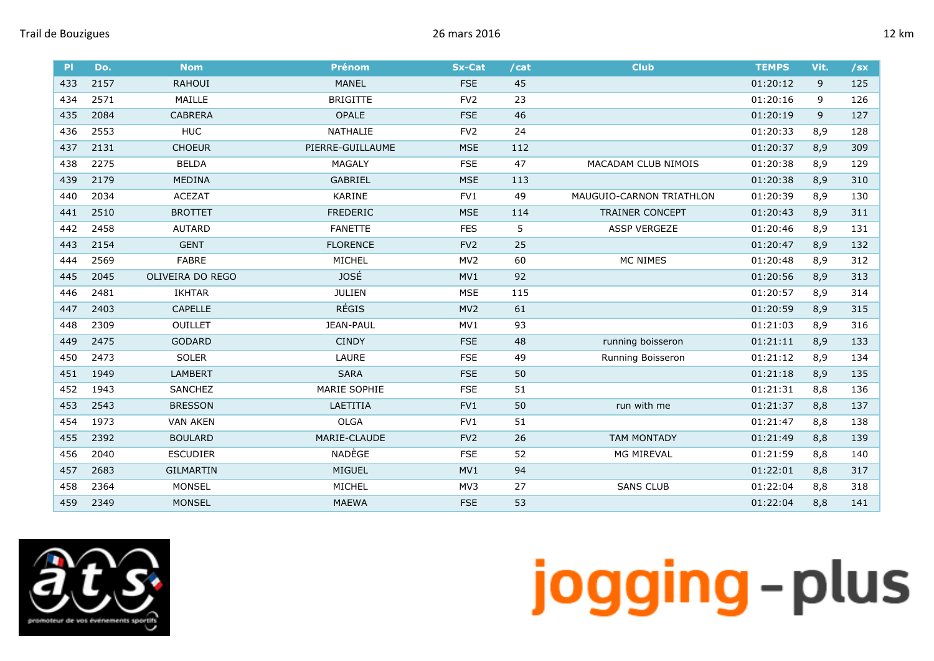| PI  | Do.  | <b>Nom</b>       | <b>Prénom</b>    | <b>Sx-Cat</b>   | /cat | <b>Club</b>              | <b>TEMPS</b> | Vit. | $/$ sx |
|-----|------|------------------|------------------|-----------------|------|--------------------------|--------------|------|--------|
| 433 | 2157 | <b>RAHOUI</b>    | <b>MANEL</b>     | <b>FSE</b>      | 45   |                          | 01:20:12     | 9    | 125    |
| 434 | 2571 | MAILLE           | <b>BRIGITTE</b>  | FV <sub>2</sub> | 23   |                          | 01:20:16     | 9    | 126    |
| 435 | 2084 | <b>CABRERA</b>   | <b>OPALE</b>     | <b>FSE</b>      | 46   |                          | 01:20:19     | 9    | 127    |
| 436 | 2553 | <b>HUC</b>       | <b>NATHALIE</b>  | FV <sub>2</sub> | 24   |                          | 01:20:33     | 8,9  | 128    |
| 437 | 2131 | <b>CHOEUR</b>    | PIERRE-GUILLAUME | <b>MSE</b>      | 112  |                          | 01:20:37     | 8,9  | 309    |
| 438 | 2275 | <b>BELDA</b>     | MAGALY           | <b>FSE</b>      | 47   | MACADAM CLUB NIMOIS      | 01:20:38     | 8,9  | 129    |
| 439 | 2179 | <b>MEDINA</b>    | GABRIEL          | <b>MSE</b>      | 113  |                          | 01:20:38     | 8,9  | 310    |
| 440 | 2034 | <b>ACEZAT</b>    | KARINE           | FV1             | 49   | MAUGUIO-CARNON TRIATHLON | 01:20:39     | 8,9  | 130    |
| 441 | 2510 | <b>BROTTET</b>   | <b>FREDERIC</b>  | <b>MSE</b>      | 114  | TRAINER CONCEPT          | 01:20:43     | 8,9  | 311    |
| 442 | 2458 | <b>AUTARD</b>    | <b>FANETTE</b>   | <b>FES</b>      | 5    | <b>ASSP VERGEZE</b>      | 01:20:46     | 8,9  | 131    |
| 443 | 2154 | <b>GENT</b>      | <b>FLORENCE</b>  | FV <sub>2</sub> | 25   |                          | 01:20:47     | 8,9  | 132    |
| 444 | 2569 | FABRE            | MICHEL           | MV <sub>2</sub> | 60   | MC NIMES                 | 01:20:48     | 8,9  | 312    |
| 445 | 2045 | OLIVEIRA DO REGO | <b>JOSÉ</b>      | MV1             | 92   |                          | 01:20:56     | 8,9  | 313    |
| 446 | 2481 | <b>IKHTAR</b>    | <b>JULIEN</b>    | <b>MSE</b>      | 115  |                          | 01:20:57     | 8,9  | 314    |
| 447 | 2403 | <b>CAPELLE</b>   | <b>RÉGIS</b>     | MV <sub>2</sub> | 61   |                          | 01:20:59     | 8,9  | 315    |
| 448 | 2309 | <b>OUILLET</b>   | JEAN-PAUL        | MV1             | 93   |                          | 01:21:03     | 8,9  | 316    |
| 449 | 2475 | <b>GODARD</b>    | <b>CINDY</b>     | <b>FSE</b>      | 48   | running boisseron        | 01:21:11     | 8,9  | 133    |
| 450 | 2473 | <b>SOLER</b>     | LAURE            | <b>FSE</b>      | 49   | Running Boisseron        | 01:21:12     | 8,9  | 134    |
| 451 | 1949 | <b>LAMBERT</b>   | <b>SARA</b>      | <b>FSE</b>      | 50   |                          | 01:21:18     | 8,9  | 135    |
| 452 | 1943 | SANCHEZ          | MARIE SOPHIE     | <b>FSE</b>      | 51   |                          | 01:21:31     | 8,8  | 136    |
| 453 | 2543 | <b>BRESSON</b>   | LAETITIA         | FV1             | 50   | run with me              | 01:21:37     | 8,8  | 137    |
| 454 | 1973 | <b>VAN AKEN</b>  | <b>OLGA</b>      | FV1             | 51   |                          | 01:21:47     | 8,8  | 138    |
| 455 | 2392 | <b>BOULARD</b>   | MARIE-CLAUDE     | FV <sub>2</sub> | 26   | <b>TAM MONTADY</b>       | 01:21:49     | 8,8  | 139    |
| 456 | 2040 | <b>ESCUDIER</b>  | NADÈGE           | <b>FSE</b>      | 52   | MG MIREVAL               | 01:21:59     | 8,8  | 140    |
| 457 | 2683 | <b>GILMARTIN</b> | MIGUEL           | MV1             | 94   |                          | 01:22:01     | 8,8  | 317    |
| 458 | 2364 | <b>MONSEL</b>    | MICHEL           | MV3             | 27   | <b>SANS CLUB</b>         | 01:22:04     | 8,8  | 318    |
| 459 | 2349 | <b>MONSEL</b>    | <b>MAEWA</b>     | <b>FSE</b>      | 53   |                          | 01:22:04     | 8,8  | 141    |

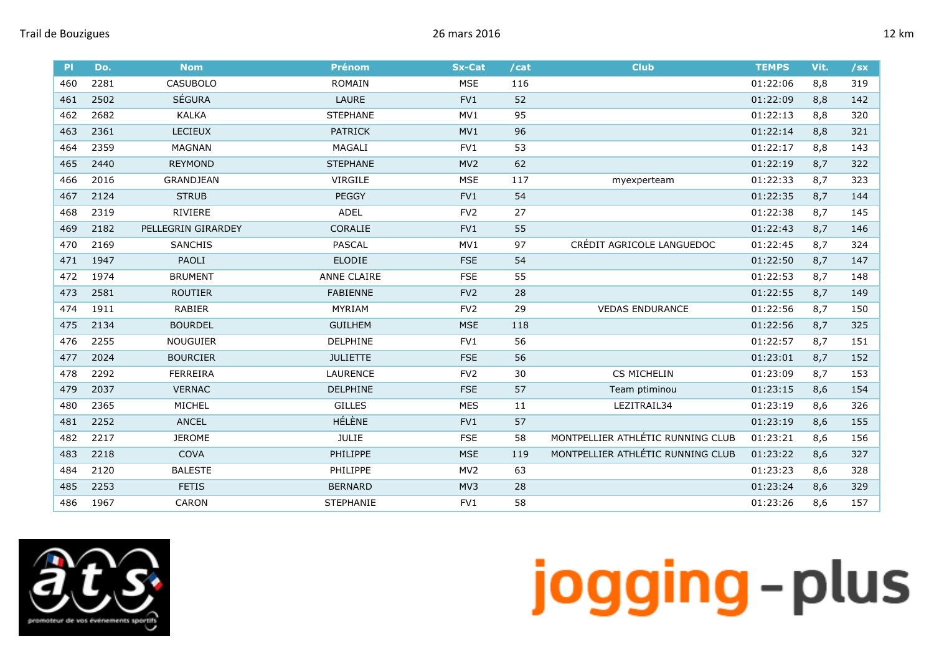| PI  | Do.  | <b>Nom</b>         | <b>Prénom</b>      | <b>Sx-Cat</b>   | /cat | <b>Club</b>                       | <b>TEMPS</b> | Vit. | /sx |
|-----|------|--------------------|--------------------|-----------------|------|-----------------------------------|--------------|------|-----|
| 460 | 2281 | <b>CASUBOLO</b>    | <b>ROMAIN</b>      | <b>MSE</b>      | 116  |                                   | 01:22:06     | 8,8  | 319 |
| 461 | 2502 | <b>SÉGURA</b>      | LAURE              | FV1             | 52   |                                   | 01:22:09     | 8,8  | 142 |
| 462 | 2682 | <b>KALKA</b>       | <b>STEPHANE</b>    | MV1             | 95   |                                   | 01:22:13     | 8,8  | 320 |
| 463 | 2361 | LECIEUX            | <b>PATRICK</b>     | MV1             | 96   |                                   | 01:22:14     | 8,8  | 321 |
| 464 | 2359 | <b>MAGNAN</b>      | MAGALI             | FV1             | 53   |                                   | 01:22:17     | 8,8  | 143 |
| 465 | 2440 | <b>REYMOND</b>     | <b>STEPHANE</b>    | MV <sub>2</sub> | 62   |                                   | 01:22:19     | 8,7  | 322 |
| 466 | 2016 | <b>GRANDJEAN</b>   | <b>VIRGILE</b>     | <b>MSE</b>      | 117  | myexperteam                       | 01:22:33     | 8,7  | 323 |
| 467 | 2124 | <b>STRUB</b>       | <b>PEGGY</b>       | FV1             | 54   |                                   | 01:22:35     | 8,7  | 144 |
| 468 | 2319 | <b>RIVIERE</b>     | <b>ADEL</b>        | FV <sub>2</sub> | 27   |                                   | 01:22:38     | 8,7  | 145 |
| 469 | 2182 | PELLEGRIN GIRARDEY | CORALIE            | FV1             | 55   |                                   | 01:22:43     | 8,7  | 146 |
| 470 | 2169 | <b>SANCHIS</b>     | <b>PASCAL</b>      | MV1             | 97   | CRÉDIT AGRICOLE LANGUEDOC         | 01:22:45     | 8,7  | 324 |
| 471 | 1947 | PAOLI              | <b>ELODIE</b>      | <b>FSE</b>      | 54   |                                   | 01:22:50     | 8,7  | 147 |
| 472 | 1974 | <b>BRUMENT</b>     | <b>ANNE CLAIRE</b> | <b>FSE</b>      | 55   |                                   | 01:22:53     | 8,7  | 148 |
| 473 | 2581 | <b>ROUTIER</b>     | <b>FABIENNE</b>    | FV <sub>2</sub> | 28   |                                   | 01:22:55     | 8,7  | 149 |
| 474 | 1911 | RABIER             | MYRIAM             | FV <sub>2</sub> | 29   | <b>VEDAS ENDURANCE</b>            | 01:22:56     | 8,7  | 150 |
| 475 | 2134 | <b>BOURDEL</b>     | <b>GUILHEM</b>     | <b>MSE</b>      | 118  |                                   | 01:22:56     | 8,7  | 325 |
| 476 | 2255 | <b>NOUGUIER</b>    | DELPHINE           | FV1             | 56   |                                   | 01:22:57     | 8,7  | 151 |
| 477 | 2024 | <b>BOURCIER</b>    | <b>JULIETTE</b>    | <b>FSE</b>      | 56   |                                   | 01:23:01     | 8,7  | 152 |
| 478 | 2292 | <b>FERREIRA</b>    | <b>LAURENCE</b>    | FV <sub>2</sub> | 30   | CS MICHELIN                       | 01:23:09     | 8,7  | 153 |
| 479 | 2037 | <b>VERNAC</b>      | <b>DELPHINE</b>    | <b>FSE</b>      | 57   | Team ptiminou                     | 01:23:15     | 8,6  | 154 |
| 480 | 2365 | MICHEL             | <b>GILLES</b>      | <b>MES</b>      | 11   | LEZITRAIL34                       | 01:23:19     | 8,6  | 326 |
| 481 | 2252 | <b>ANCEL</b>       | <b>HÉLÈNE</b>      | FV1             | 57   |                                   | 01:23:19     | 8,6  | 155 |
| 482 | 2217 | <b>JEROME</b>      | <b>JULIE</b>       | <b>FSE</b>      | 58   | MONTPELLIER ATHLÉTIC RUNNING CLUB | 01:23:21     | 8,6  | 156 |
| 483 | 2218 | <b>COVA</b>        | <b>PHILIPPE</b>    | <b>MSE</b>      | 119  | MONTPELLIER ATHLÉTIC RUNNING CLUB | 01:23:22     | 8,6  | 327 |
| 484 | 2120 | <b>BALESTE</b>     | PHILIPPE           | MV <sub>2</sub> | 63   |                                   | 01:23:23     | 8,6  | 328 |
| 485 | 2253 | <b>FETIS</b>       | <b>BERNARD</b>     | MV3             | 28   |                                   | 01:23:24     | 8,6  | 329 |
| 486 | 1967 | CARON              | <b>STEPHANIE</b>   | FV <sub>1</sub> | 58   |                                   | 01:23:26     | 8,6  | 157 |

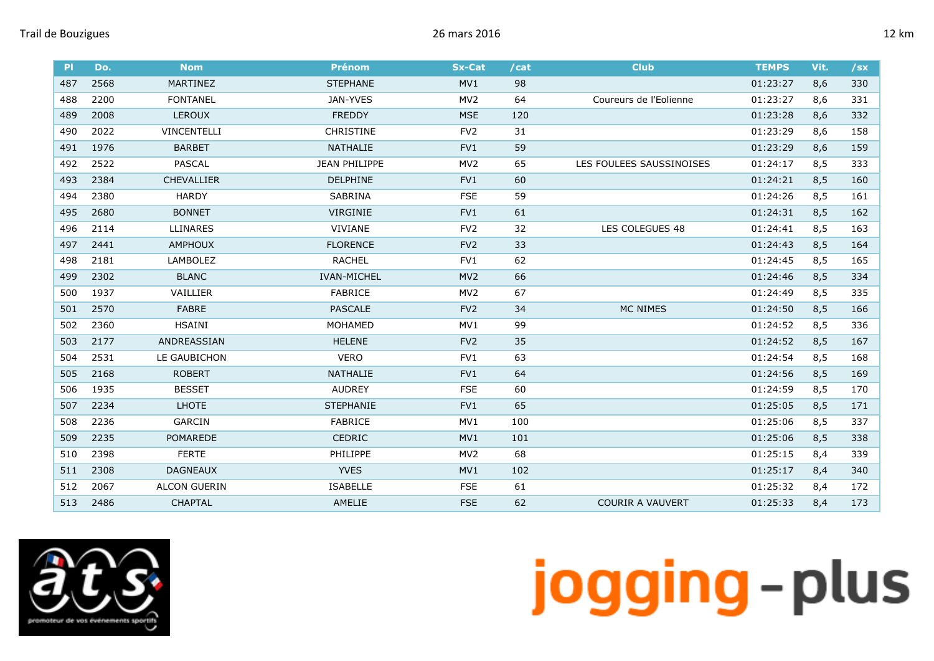| <b>PI</b> | Do.  | <b>Nom</b>          | <b>Prénom</b>      | <b>Sx-Cat</b>   | /cat | <b>Club</b>              | <b>TEMPS</b> | Vit. | $/$ sx |
|-----------|------|---------------------|--------------------|-----------------|------|--------------------------|--------------|------|--------|
| 487       | 2568 | MARTINEZ            | <b>STEPHANE</b>    | MV1             | 98   |                          | 01:23:27     | 8,6  | 330    |
| 488       | 2200 | <b>FONTANEL</b>     | JAN-YVES           | MV <sub>2</sub> | 64   | Coureurs de l'Eolienne   | 01:23:27     | 8,6  | 331    |
| 489       | 2008 | <b>LEROUX</b>       | <b>FREDDY</b>      | <b>MSE</b>      | 120  |                          | 01:23:28     | 8,6  | 332    |
| 490       | 2022 | <b>VINCENTELLI</b>  | <b>CHRISTINE</b>   | FV <sub>2</sub> | 31   |                          | 01:23:29     | 8,6  | 158    |
| 491       | 1976 | <b>BARBET</b>       | NATHALIE           | FV1             | 59   |                          | 01:23:29     | 8,6  | 159    |
| 492       | 2522 | <b>PASCAL</b>       | JEAN PHILIPPE      | MV <sub>2</sub> | 65   | LES FOULEES SAUSSINOISES | 01:24:17     | 8,5  | 333    |
| 493       | 2384 | <b>CHEVALLIER</b>   | <b>DELPHINE</b>    | FV <sub>1</sub> | 60   |                          | 01:24:21     | 8,5  | 160    |
| 494       | 2380 | <b>HARDY</b>        | <b>SABRINA</b>     | <b>FSE</b>      | 59   |                          | 01:24:26     | 8,5  | 161    |
| 495       | 2680 | <b>BONNET</b>       | VIRGINIE           | FV1             | 61   |                          | 01:24:31     | 8,5  | 162    |
| 496       | 2114 | <b>LLINARES</b>     | VIVIANE            | FV <sub>2</sub> | 32   | LES COLEGUES 48          | 01:24:41     | 8,5  | 163    |
| 497       | 2441 | <b>AMPHOUX</b>      | <b>FLORENCE</b>    | FV <sub>2</sub> | 33   |                          | 01:24:43     | 8,5  | 164    |
| 498       | 2181 | LAMBOLEZ            | <b>RACHEL</b>      | FV1             | 62   |                          | 01:24:45     | 8,5  | 165    |
| 499       | 2302 | <b>BLANC</b>        | <b>IVAN-MICHEL</b> | MV <sub>2</sub> | 66   |                          | 01:24:46     | 8,5  | 334    |
| 500       | 1937 | VAILLIER            | <b>FABRICE</b>     | MV <sub>2</sub> | 67   |                          | 01:24:49     | 8,5  | 335    |
| 501       | 2570 | <b>FABRE</b>        | <b>PASCALE</b>     | FV <sub>2</sub> | 34   | MC NIMES                 | 01:24:50     | 8,5  | 166    |
| 502       | 2360 | <b>HSAINI</b>       | MOHAMED            | MV1             | 99   |                          | 01:24:52     | 8,5  | 336    |
| 503       | 2177 | ANDREASSIAN         | <b>HELENE</b>      | FV <sub>2</sub> | 35   |                          | 01:24:52     | 8,5  | 167    |
| 504       | 2531 | LE GAUBICHON        | <b>VERO</b>        | FV1             | 63   |                          | 01:24:54     | 8,5  | 168    |
| 505       | 2168 | <b>ROBERT</b>       | NATHALIE           | FV1             | 64   |                          | 01:24:56     | 8,5  | 169    |
| 506       | 1935 | <b>BESSET</b>       | <b>AUDREY</b>      | <b>FSE</b>      | 60   |                          | 01:24:59     | 8,5  | 170    |
| 507       | 2234 | <b>LHOTE</b>        | <b>STEPHANIE</b>   | FV1             | 65   |                          | 01:25:05     | 8,5  | 171    |
| 508       | 2236 | <b>GARCIN</b>       | <b>FABRICE</b>     | MV1             | 100  |                          | 01:25:06     | 8,5  | 337    |
| 509       | 2235 | POMAREDE            | CEDRIC             | MV1             | 101  |                          | 01:25:06     | 8,5  | 338    |
| 510       | 2398 | <b>FERTE</b>        | PHILIPPE           | MV <sub>2</sub> | 68   |                          | 01:25:15     | 8,4  | 339    |
| 511       | 2308 | <b>DAGNEAUX</b>     | <b>YVES</b>        | MV1             | 102  |                          | 01:25:17     | 8,4  | 340    |
| 512       | 2067 | <b>ALCON GUERIN</b> | <b>ISABELLE</b>    | <b>FSE</b>      | 61   |                          | 01:25:32     | 8,4  | 172    |
| 513       | 2486 | <b>CHAPTAL</b>      | AMELIE             | <b>FSE</b>      | 62   | <b>COURIR A VAUVERT</b>  | 01:25:33     | 8,4  | 173    |

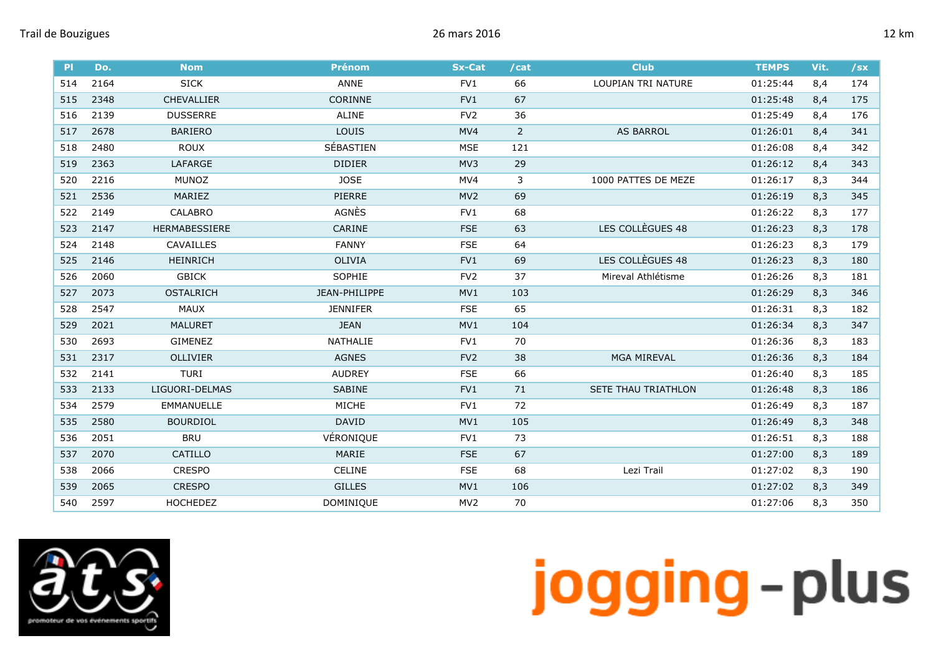| PI  | Do.  | <b>Nom</b>           | <b>Prénom</b>   | <b>Sx-Cat</b>   | /cat           | <b>Club</b>         | <b>TEMPS</b> | Vit. | $/$ sx |
|-----|------|----------------------|-----------------|-----------------|----------------|---------------------|--------------|------|--------|
| 514 | 2164 | <b>SICK</b>          | ANNE            | FV <sub>1</sub> | 66             | LOUPIAN TRI NATURE  | 01:25:44     | 8,4  | 174    |
| 515 | 2348 | <b>CHEVALLIER</b>    | <b>CORINNE</b>  | FV1             | 67             |                     | 01:25:48     | 8,4  | 175    |
| 516 | 2139 | <b>DUSSERRE</b>      | <b>ALINE</b>    | FV <sub>2</sub> | 36             |                     | 01:25:49     | 8,4  | 176    |
| 517 | 2678 | <b>BARIERO</b>       | LOUIS           | MV4             | $\overline{2}$ | <b>AS BARROL</b>    | 01:26:01     | 8,4  | 341    |
| 518 | 2480 | <b>ROUX</b>          | SÉBASTIEN       | <b>MSE</b>      | 121            |                     | 01:26:08     | 8,4  | 342    |
| 519 | 2363 | LAFARGE              | <b>DIDIER</b>   | MV3             | 29             |                     | 01:26:12     | 8,4  | 343    |
| 520 | 2216 | <b>MUNOZ</b>         | <b>JOSE</b>     | MV4             | 3              | 1000 PATTES DE MEZE | 01:26:17     | 8,3  | 344    |
| 521 | 2536 | MARIEZ               | <b>PIERRE</b>   | MV <sub>2</sub> | 69             |                     | 01:26:19     | 8,3  | 345    |
| 522 | 2149 | CALABRO              | AGNÈS           | FV1             | 68             |                     | 01:26:22     | 8,3  | 177    |
| 523 | 2147 | <b>HERMABESSIERE</b> | CARINE          | <b>FSE</b>      | 63             | LES COLLÈGUES 48    | 01:26:23     | 8,3  | 178    |
| 524 | 2148 | CAVAILLES            | <b>FANNY</b>    | <b>FSE</b>      | 64             |                     | 01:26:23     | 8,3  | 179    |
| 525 | 2146 | <b>HEINRICH</b>      | <b>OLIVIA</b>   | FV1             | 69             | LES COLLÈGUES 48    | 01:26:23     | 8,3  | 180    |
| 526 | 2060 | <b>GBICK</b>         | SOPHIE          | FV <sub>2</sub> | 37             | Mireval Athlétisme  | 01:26:26     | 8,3  | 181    |
| 527 | 2073 | <b>OSTALRICH</b>     | JEAN-PHILIPPE   | MV1             | 103            |                     | 01:26:29     | 8,3  | 346    |
| 528 | 2547 | <b>MAUX</b>          | <b>JENNIFER</b> | <b>FSE</b>      | 65             |                     | 01:26:31     | 8,3  | 182    |
| 529 | 2021 | <b>MALURET</b>       | <b>JEAN</b>     | MV1             | 104            |                     | 01:26:34     | 8,3  | 347    |
| 530 | 2693 | <b>GIMENEZ</b>       | NATHALIE        | FV1             | 70             |                     | 01:26:36     | 8,3  | 183    |
| 531 | 2317 | <b>OLLIVIER</b>      | <b>AGNES</b>    | FV <sub>2</sub> | 38             | <b>MGA MIREVAL</b>  | 01:26:36     | 8,3  | 184    |
| 532 | 2141 | TURI                 | <b>AUDREY</b>   | <b>FSE</b>      | 66             |                     | 01:26:40     | 8,3  | 185    |
| 533 | 2133 | LIGUORI-DELMAS       | <b>SABINE</b>   | FV1             | 71             | SETE THAU TRIATHLON | 01:26:48     | 8,3  | 186    |
| 534 | 2579 | <b>EMMANUELLE</b>    | MICHE           | FV1             | 72             |                     | 01:26:49     | 8,3  | 187    |
| 535 | 2580 | <b>BOURDIOL</b>      | <b>DAVID</b>    | MV1             | 105            |                     | 01:26:49     | 8,3  | 348    |
| 536 | 2051 | <b>BRU</b>           | VÉRONIQUE       | FV1             | 73             |                     | 01:26:51     | 8,3  | 188    |
| 537 | 2070 | <b>CATILLO</b>       | MARIE           | <b>FSE</b>      | 67             |                     | 01:27:00     | 8,3  | 189    |
| 538 | 2066 | <b>CRESPO</b>        | CELINE          | <b>FSE</b>      | 68             | Lezi Trail          | 01:27:02     | 8,3  | 190    |
| 539 | 2065 | <b>CRESPO</b>        | <b>GILLES</b>   | MV1             | 106            |                     | 01:27:02     | 8,3  | 349    |
| 540 | 2597 | <b>HOCHEDEZ</b>      | DOMINIQUE       | MV <sub>2</sub> | 70             |                     | 01:27:06     | 8,3  | 350    |

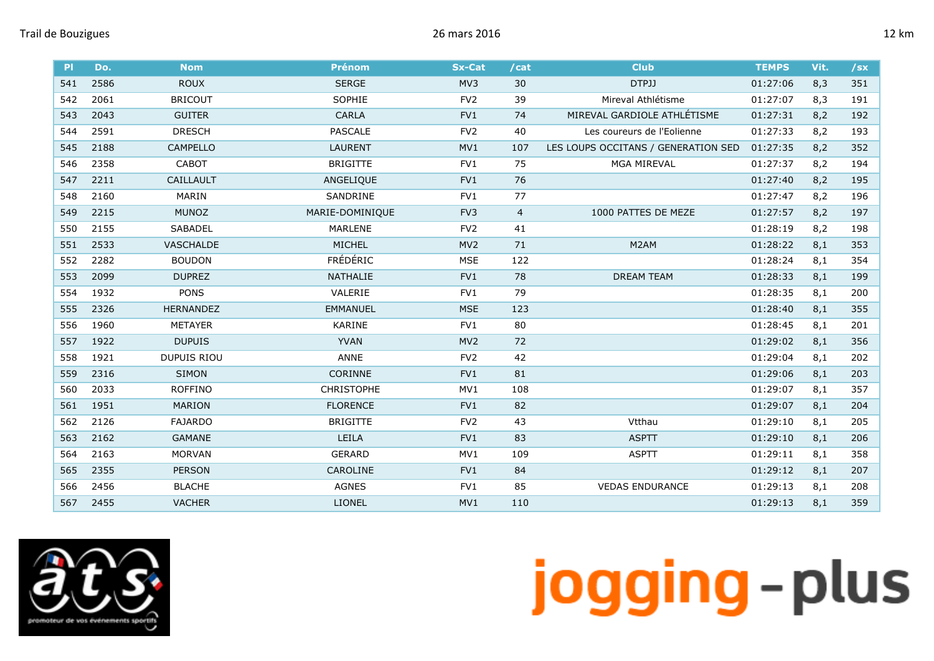

| P   | Do.  | <b>Nom</b>       | <b>Prénom</b>     | <b>Sx-Cat</b>   | /cat           | <b>Club</b>                         | <b>TEMPS</b> | Vit. | $/$ sx |
|-----|------|------------------|-------------------|-----------------|----------------|-------------------------------------|--------------|------|--------|
| 541 | 2586 | <b>ROUX</b>      | <b>SERGE</b>      | MV3             | 30             | DTPJJ                               | 01:27:06     | 8,3  | 351    |
| 542 | 2061 | <b>BRICOUT</b>   | SOPHIE            | FV <sub>2</sub> | 39             | Mireval Athlétisme                  | 01:27:07     | 8,3  | 191    |
| 543 | 2043 | <b>GUITER</b>    | CARLA             | FV1             | 74             | MIREVAL GARDIOLE ATHLÉTISME         | 01:27:31     | 8,2  | 192    |
| 544 | 2591 | <b>DRESCH</b>    | <b>PASCALE</b>    | FV <sub>2</sub> | 40             | Les coureurs de l'Eolienne          | 01:27:33     | 8,2  | 193    |
| 545 | 2188 | CAMPELLO         | <b>LAURENT</b>    | MV1             | 107            | LES LOUPS OCCITANS / GENERATION SED | 01:27:35     | 8,2  | 352    |
| 546 | 2358 | <b>CABOT</b>     | <b>BRIGITTE</b>   | FV1             | 75             | <b>MGA MIREVAL</b>                  | 01:27:37     | 8,2  | 194    |
| 547 | 2211 | CAILLAULT        | ANGELIQUE         | FV1             | 76             |                                     | 01:27:40     | 8,2  | 195    |
| 548 | 2160 | MARIN            | SANDRINE          | FV1             | 77             |                                     | 01:27:47     | 8,2  | 196    |
| 549 | 2215 | <b>MUNOZ</b>     | MARIE-DOMINIQUE   | FV <sub>3</sub> | $\overline{4}$ | 1000 PATTES DE MEZE                 | 01:27:57     | 8,2  | 197    |
| 550 | 2155 | <b>SABADEL</b>   | <b>MARLENE</b>    | FV <sub>2</sub> | 41             |                                     | 01:28:19     | 8,2  | 198    |
| 551 | 2533 | <b>VASCHALDE</b> | MICHEL            | MV <sub>2</sub> | 71             | M2AM                                | 01:28:22     | 8,1  | 353    |
| 552 | 2282 | <b>BOUDON</b>    | <b>FRÉDÉRIC</b>   | <b>MSE</b>      | 122            |                                     | 01:28:24     | 8,1  | 354    |
| 553 | 2099 | <b>DUPREZ</b>    | NATHALIE          | FV1             | 78             | <b>DREAM TEAM</b>                   | 01:28:33     | 8,1  | 199    |
| 554 | 1932 | <b>PONS</b>      | VALERIE           | FV <sub>1</sub> | 79             |                                     | 01:28:35     | 8,1  | 200    |
| 555 | 2326 | <b>HERNANDEZ</b> | <b>EMMANUEL</b>   | <b>MSE</b>      | 123            |                                     | 01:28:40     | 8,1  | 355    |
| 556 | 1960 | <b>METAYER</b>   | KARINE            | FV1             | 80             |                                     | 01:28:45     | 8,1  | 201    |
| 557 | 1922 | <b>DUPUIS</b>    | <b>YVAN</b>       | MV <sub>2</sub> | 72             |                                     | 01:29:02     | 8,1  | 356    |
| 558 | 1921 | DUPUIS RIOU      | ANNE              | FV <sub>2</sub> | 42             |                                     | 01:29:04     | 8,1  | 202    |
| 559 | 2316 | <b>SIMON</b>     | CORINNE           | FV1             | 81             |                                     | 01:29:06     | 8,1  | 203    |
| 560 | 2033 | <b>ROFFINO</b>   | <b>CHRISTOPHE</b> | MV1             | 108            |                                     | 01:29:07     | 8,1  | 357    |
| 561 | 1951 | MARION           | <b>FLORENCE</b>   | FV1             | 82             |                                     | 01:29:07     | 8,1  | 204    |
| 562 | 2126 | <b>FAJARDO</b>   | <b>BRIGITTE</b>   | FV <sub>2</sub> | 43             | Vtthau                              | 01:29:10     | 8,1  | 205    |
| 563 | 2162 | GAMANE           | LEILA             | FV1             | 83             | <b>ASPTT</b>                        | 01:29:10     | 8,1  | 206    |
| 564 | 2163 | <b>MORVAN</b>    | <b>GERARD</b>     | MV1             | 109            | <b>ASPTT</b>                        | 01:29:11     | 8,1  | 358    |
| 565 | 2355 | <b>PERSON</b>    | CAROLINE          | FV1             | 84             |                                     | 01:29:12     | 8,1  | 207    |
| 566 | 2456 | <b>BLACHE</b>    | AGNES             | FV1             | 85             | <b>VEDAS ENDURANCE</b>              | 01:29:13     | 8,1  | 208    |
| 567 | 2455 | <b>VACHER</b>    | <b>LIONEL</b>     | MV1             | 110            |                                     | 01:29:13     | 8,1  | 359    |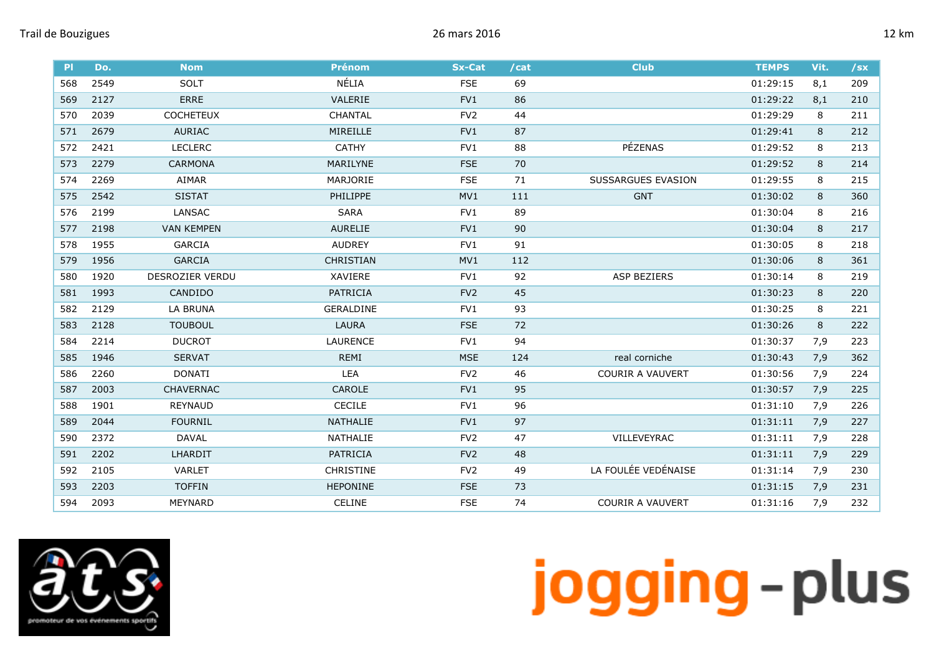| P   | Do.  | <b>Nom</b>        | <b>Prénom</b>    | <b>Sx-Cat</b>   | /cat | <b>Club</b>             | <b>TEMPS</b> | Vit. | $/$ sx |
|-----|------|-------------------|------------------|-----------------|------|-------------------------|--------------|------|--------|
| 568 | 2549 | <b>SOLT</b>       | NÉLIA            | <b>FSE</b>      | 69   |                         | 01:29:15     | 8,1  | 209    |
| 569 | 2127 | <b>ERRE</b>       | VALERIE          | FV1             | 86   |                         | 01:29:22     | 8,1  | 210    |
| 570 | 2039 | <b>COCHETEUX</b>  | <b>CHANTAL</b>   | FV <sub>2</sub> | 44   |                         | 01:29:29     | 8    | 211    |
| 571 | 2679 | <b>AURIAC</b>     | MIREILLE         | FV1             | 87   |                         | 01:29:41     | 8    | 212    |
| 572 | 2421 | <b>LECLERC</b>    | <b>CATHY</b>     | FV1             | 88   | PÉZENAS                 | 01:29:52     | 8    | 213    |
| 573 | 2279 | <b>CARMONA</b>    | MARILYNE         | <b>FSE</b>      | 70   |                         | 01:29:52     | 8    | 214    |
| 574 | 2269 | AIMAR             | MARJORIE         | <b>FSE</b>      | 71   | SUSSARGUES EVASION      | 01:29:55     | 8    | 215    |
| 575 | 2542 | <b>SISTAT</b>     | <b>PHILIPPE</b>  | MV1             | 111  | <b>GNT</b>              | 01:30:02     | 8    | 360    |
| 576 | 2199 | LANSAC            | <b>SARA</b>      | FV1             | 89   |                         | 01:30:04     | 8    | 216    |
| 577 | 2198 | <b>VAN KEMPEN</b> | <b>AURELIE</b>   | FV1             | 90   |                         | 01:30:04     | 8    | 217    |
| 578 | 1955 | <b>GARCIA</b>     | <b>AUDREY</b>    | FV1             | 91   |                         | 01:30:05     | 8    | 218    |
| 579 | 1956 | <b>GARCIA</b>     | <b>CHRISTIAN</b> | MV1             | 112  |                         | 01:30:06     | 8    | 361    |
| 580 | 1920 | DESROZIER VERDU   | XAVIERE          | FV1             | 92   | <b>ASP BEZIERS</b>      | 01:30:14     | 8    | 219    |
| 581 | 1993 | CANDIDO           | PATRICIA         | FV <sub>2</sub> | 45   |                         | 01:30:23     | 8    | 220    |
| 582 | 2129 | LA BRUNA          | <b>GERALDINE</b> | FV1             | 93   |                         | 01:30:25     | 8    | 221    |
| 583 | 2128 | <b>TOUBOUL</b>    | <b>LAURA</b>     | <b>FSE</b>      | 72   |                         | 01:30:26     | 8    | 222    |
| 584 | 2214 | <b>DUCROT</b>     | <b>LAURENCE</b>  | FV1             | 94   |                         | 01:30:37     | 7,9  | 223    |
| 585 | 1946 | <b>SERVAT</b>     | <b>REMI</b>      | <b>MSE</b>      | 124  | real corniche           | 01:30:43     | 7,9  | 362    |
| 586 | 2260 | <b>DONATI</b>     | LEA              | FV <sub>2</sub> | 46   | <b>COURIR A VAUVERT</b> | 01:30:56     | 7,9  | 224    |
| 587 | 2003 | <b>CHAVERNAC</b>  | CAROLE           | FV1             | 95   |                         | 01:30:57     | 7,9  | 225    |
| 588 | 1901 | REYNAUD           | <b>CECILE</b>    | FV1             | 96   |                         | 01:31:10     | 7,9  | 226    |
| 589 | 2044 | <b>FOURNIL</b>    | NATHALIE         | FV1             | 97   |                         | 01:31:11     | 7,9  | 227    |
| 590 | 2372 | <b>DAVAL</b>      | NATHALIE         | FV <sub>2</sub> | 47   | VILLEVEYRAC             | 01:31:11     | 7,9  | 228    |
| 591 | 2202 | <b>LHARDIT</b>    | PATRICIA         | FV <sub>2</sub> | 48   |                         | 01:31:11     | 7,9  | 229    |
| 592 | 2105 | <b>VARLET</b>     | <b>CHRISTINE</b> | FV <sub>2</sub> | 49   | LA FOULÉE VEDÉNAISE     | 01:31:14     | 7,9  | 230    |
| 593 | 2203 | <b>TOFFIN</b>     | <b>HEPONINE</b>  | <b>FSE</b>      | 73   |                         | 01:31:15     | 7,9  | 231    |
| 594 | 2093 | <b>MEYNARD</b>    | CELINE           | <b>FSE</b>      | 74   | <b>COURIR A VAUVERT</b> | 01:31:16     | 7,9  | 232    |

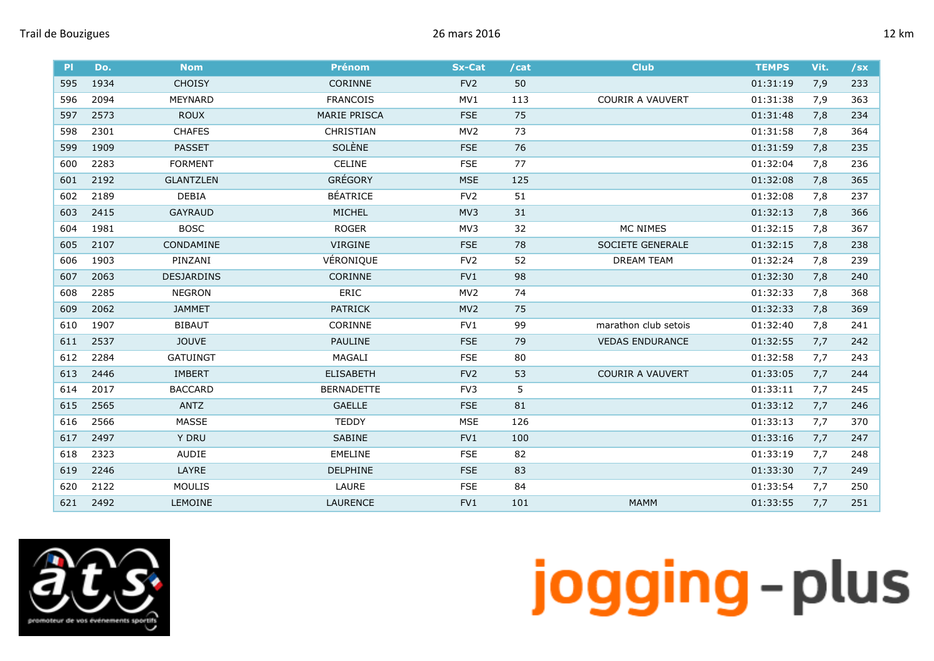| P   | Do.  | <b>Nom</b>        | <b>Prénom</b>       | <b>Sx-Cat</b>   | /cat | <b>Club</b>             | <b>TEMPS</b> | Vit. | $/$ sx |
|-----|------|-------------------|---------------------|-----------------|------|-------------------------|--------------|------|--------|
| 595 | 1934 | <b>CHOISY</b>     | <b>CORINNE</b>      | FV <sub>2</sub> | 50   |                         | 01:31:19     | 7,9  | 233    |
| 596 | 2094 | <b>MEYNARD</b>    | <b>FRANCOIS</b>     | MV1             | 113  | <b>COURIR A VAUVERT</b> | 01:31:38     | 7,9  | 363    |
| 597 | 2573 | <b>ROUX</b>       | <b>MARIE PRISCA</b> | <b>FSE</b>      | 75   |                         | 01:31:48     | 7,8  | 234    |
| 598 | 2301 | <b>CHAFES</b>     | CHRISTIAN           | MV <sub>2</sub> | 73   |                         | 01:31:58     | 7,8  | 364    |
| 599 | 1909 | <b>PASSET</b>     | <b>SOLÈNE</b>       | <b>FSE</b>      | 76   |                         | 01:31:59     | 7,8  | 235    |
| 600 | 2283 | <b>FORMENT</b>    | <b>CELINE</b>       | <b>FSE</b>      | 77   |                         | 01:32:04     | 7,8  | 236    |
| 601 | 2192 | <b>GLANTZLEN</b>  | GRÉGORY             | <b>MSE</b>      | 125  |                         | 01:32:08     | 7,8  | 365    |
| 602 | 2189 | <b>DEBIA</b>      | <b>BÉATRICE</b>     | FV <sub>2</sub> | 51   |                         | 01:32:08     | 7,8  | 237    |
| 603 | 2415 | <b>GAYRAUD</b>    | MICHEL              | MV3             | 31   |                         | 01:32:13     | 7,8  | 366    |
| 604 | 1981 | <b>BOSC</b>       | <b>ROGER</b>        | MV3             | 32   | MC NIMES                | 01:32:15     | 7,8  | 367    |
| 605 | 2107 | CONDAMINE         | VIRGINE             | <b>FSE</b>      | 78   | SOCIETE GENERALE        | 01:32:15     | 7,8  | 238    |
| 606 | 1903 | PINZANI           | VÉRONIQUE           | FV <sub>2</sub> | 52   | <b>DREAM TEAM</b>       | 01:32:24     | 7,8  | 239    |
| 607 | 2063 | <b>DESJARDINS</b> | CORINNE             | FV1             | 98   |                         | 01:32:30     | 7,8  | 240    |
| 608 | 2285 | <b>NEGRON</b>     | ERIC                | MV <sub>2</sub> | 74   |                         | 01:32:33     | 7,8  | 368    |
| 609 | 2062 | <b>JAMMET</b>     | <b>PATRICK</b>      | MV <sub>2</sub> | 75   |                         | 01:32:33     | 7,8  | 369    |
| 610 | 1907 | <b>BIBAUT</b>     | <b>CORINNE</b>      | FV1             | 99   | marathon club setois    | 01:32:40     | 7,8  | 241    |
| 611 | 2537 | <b>JOUVE</b>      | <b>PAULINE</b>      | <b>FSE</b>      | 79   | <b>VEDAS ENDURANCE</b>  | 01:32:55     | 7,7  | 242    |
| 612 | 2284 | <b>GATUINGT</b>   | MAGALI              | <b>FSE</b>      | 80   |                         | 01:32:58     | 7,7  | 243    |
| 613 | 2446 | <b>IMBERT</b>     | <b>ELISABETH</b>    | FV <sub>2</sub> | 53   | <b>COURIR A VAUVERT</b> | 01:33:05     | 7,7  | 244    |
| 614 | 2017 | <b>BACCARD</b>    | <b>BERNADETTE</b>   | FV3             | 5    |                         | 01:33:11     | 7,7  | 245    |
| 615 | 2565 | <b>ANTZ</b>       | <b>GAELLE</b>       | <b>FSE</b>      | 81   |                         | 01:33:12     | 7,7  | 246    |
| 616 | 2566 | <b>MASSE</b>      | <b>TEDDY</b>        | <b>MSE</b>      | 126  |                         | 01:33:13     | 7,7  | 370    |
| 617 | 2497 | <b>Y DRU</b>      | <b>SABINE</b>       | FV1             | 100  |                         | 01:33:16     | 7,7  | 247    |
| 618 | 2323 | <b>AUDIE</b>      | <b>EMELINE</b>      | <b>FSE</b>      | 82   |                         | 01:33:19     | 7,7  | 248    |
| 619 | 2246 | LAYRE             | <b>DELPHINE</b>     | <b>FSE</b>      | 83   |                         | 01:33:30     | 7,7  | 249    |
| 620 | 2122 | <b>MOULIS</b>     | LAURE               | <b>FSE</b>      | 84   |                         | 01:33:54     | 7,7  | 250    |
| 621 | 2492 | <b>LEMOINE</b>    | <b>LAURENCE</b>     | FV <sub>1</sub> | 101  | <b>MAMM</b>             | 01:33:55     | 7,7  | 251    |

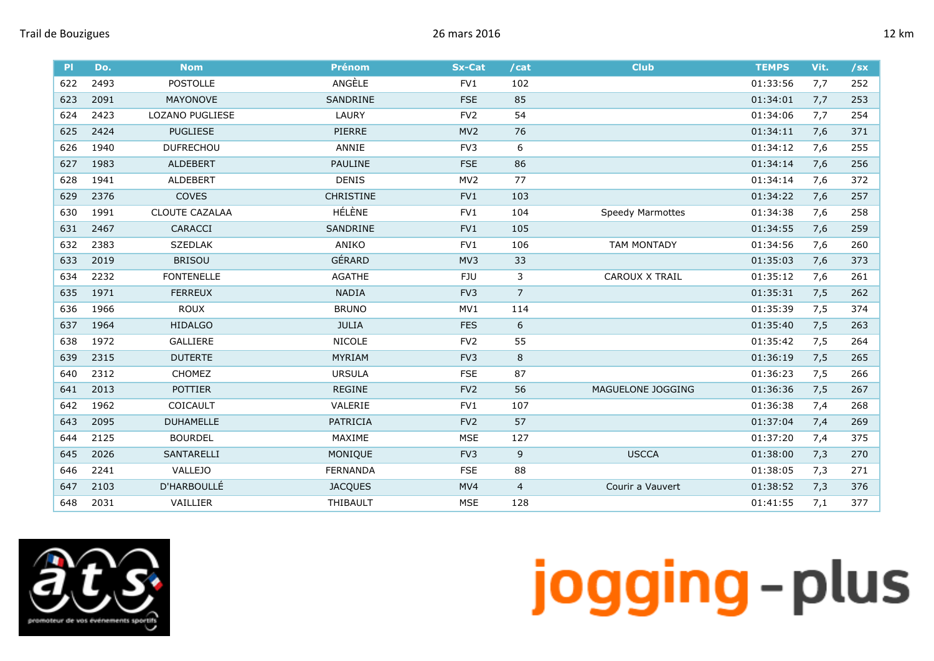| P   | Do.  | <b>Nom</b>        | <b>Prénom</b>    | <b>Sx-Cat</b>   | /cat           | <b>Club</b>             | <b>TEMPS</b> | Vit. | $/$ sx |
|-----|------|-------------------|------------------|-----------------|----------------|-------------------------|--------------|------|--------|
| 622 | 2493 | <b>POSTOLLE</b>   | ANGÈLE           | FV1             | 102            |                         | 01:33:56     | 7,7  | 252    |
| 623 | 2091 | <b>MAYONOVE</b>   | SANDRINE         | <b>FSE</b>      | 85             |                         | 01:34:01     | 7,7  | 253    |
| 624 | 2423 | LOZANO PUGLIESE   | LAURY            | FV <sub>2</sub> | 54             |                         | 01:34:06     | 7,7  | 254    |
| 625 | 2424 | <b>PUGLIESE</b>   | PIERRE           | MV <sub>2</sub> | 76             |                         | 01:34:11     | 7,6  | 371    |
| 626 | 1940 | <b>DUFRECHOU</b>  | ANNIE            | FV3             | 6              |                         | 01:34:12     | 7,6  | 255    |
| 627 | 1983 | <b>ALDEBERT</b>   | PAULINE          | <b>FSE</b>      | 86             |                         | 01:34:14     | 7,6  | 256    |
| 628 | 1941 | <b>ALDEBERT</b>   | <b>DENIS</b>     | MV <sub>2</sub> | 77             |                         | 01:34:14     | 7,6  | 372    |
| 629 | 2376 | COVES             | <b>CHRISTINE</b> | FV1             | 103            |                         | 01:34:22     | 7,6  | 257    |
| 630 | 1991 | CLOUTE CAZALAA    | HÉLÈNE           | FV1             | 104            | <b>Speedy Marmottes</b> | 01:34:38     | 7,6  | 258    |
| 631 | 2467 | CARACCI           | SANDRINE         | FV1             | 105            |                         | 01:34:55     | 7,6  | 259    |
| 632 | 2383 | <b>SZEDLAK</b>    | ANIKO            | FV1             | 106            | <b>TAM MONTADY</b>      | 01:34:56     | 7,6  | 260    |
| 633 | 2019 | <b>BRISOU</b>     | GÉRARD           | MV3             | 33             |                         | 01:35:03     | 7,6  | 373    |
| 634 | 2232 | <b>FONTENELLE</b> | AGATHE           | FJU             | 3              | <b>CAROUX X TRAIL</b>   | 01:35:12     | 7,6  | 261    |
| 635 | 1971 | <b>FERREUX</b>    | <b>NADIA</b>     | FV <sub>3</sub> | $\overline{7}$ |                         | 01:35:31     | 7,5  | 262    |
| 636 | 1966 | <b>ROUX</b>       | <b>BRUNO</b>     | MV1             | 114            |                         | 01:35:39     | 7,5  | 374    |
| 637 | 1964 | <b>HIDALGO</b>    | <b>JULIA</b>     | <b>FES</b>      | 6              |                         | 01:35:40     | 7,5  | 263    |
| 638 | 1972 | <b>GALLIERE</b>   | <b>NICOLE</b>    | FV <sub>2</sub> | 55             |                         | 01:35:42     | 7,5  | 264    |
| 639 | 2315 | <b>DUTERTE</b>    | MYRIAM           | FV3             | 8              |                         | 01:36:19     | 7,5  | 265    |
| 640 | 2312 | CHOMEZ            | <b>URSULA</b>    | <b>FSE</b>      | 87             |                         | 01:36:23     | 7,5  | 266    |
| 641 | 2013 | <b>POTTIER</b>    | <b>REGINE</b>    | FV <sub>2</sub> | 56             | MAGUELONE JOGGING       | 01:36:36     | 7,5  | 267    |
| 642 | 1962 | COICAULT          | VALERIE          | FV1             | 107            |                         | 01:36:38     | 7,4  | 268    |
| 643 | 2095 | <b>DUHAMELLE</b>  | PATRICIA         | FV <sub>2</sub> | 57             |                         | 01:37:04     | 7,4  | 269    |
| 644 | 2125 | <b>BOURDEL</b>    | MAXIME           | <b>MSE</b>      | 127            |                         | 01:37:20     | 7,4  | 375    |
| 645 | 2026 | <b>SANTARELLI</b> | MONIQUE          | FV <sub>3</sub> | 9              | <b>USCCA</b>            | 01:38:00     | 7,3  | 270    |
| 646 | 2241 | <b>VALLEJO</b>    | <b>FERNANDA</b>  | <b>FSE</b>      | 88             |                         | 01:38:05     | 7,3  | 271    |
| 647 | 2103 | D'HARBOULLÉ       | <b>JACQUES</b>   | MV4             | 4              | Courir a Vauvert        | 01:38:52     | 7,3  | 376    |
| 648 | 2031 | VAILLIER          | THIBAULT         | <b>MSE</b>      | 128            |                         | 01:41:55     | 7,1  | 377    |